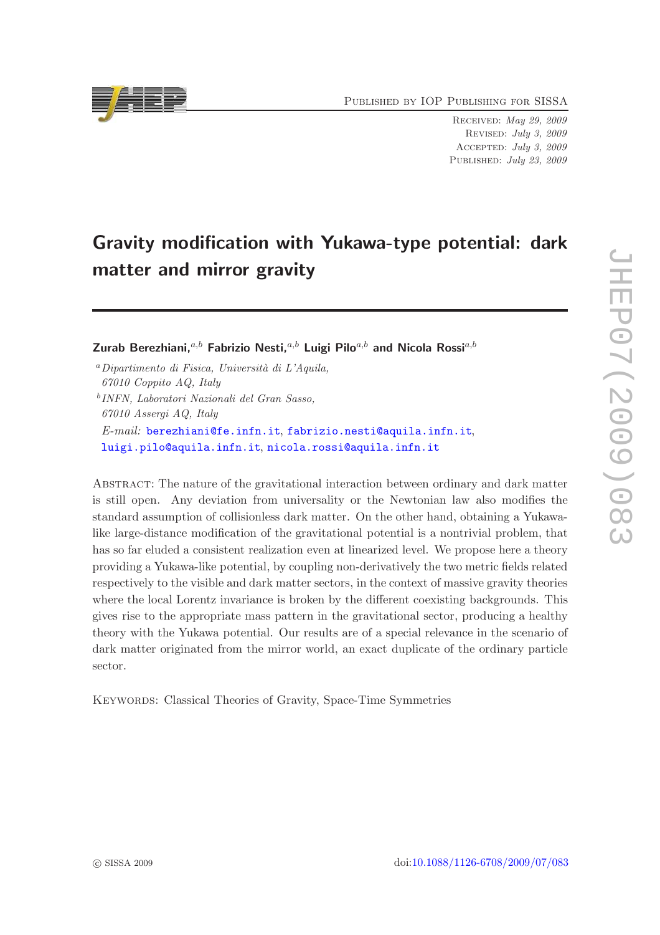Published by IOP Publishing for SISSA

Received: May 29, 2009 Revised: July 3, 2009 Accepted: July 3, 2009 PUBLISHED: July 23, 2009

# Gravity modification with Yukawa-type potential: dark matter and mirror gravity

Zurab Berezhiani,  $a,b$  Fabrizio Nesti,  $a,b$  Luigi Pilo $a,b$  and Nicola Rossi $a,b$ 

 $a$ Dipartimento di Fisica, Università di L'Aquila, 67010 Coppito AQ, Italy b INFN, Laboratori Nazionali del Gran Sasso, 67010 Assergi AQ, Italy E-mail: [berezhiani@fe.infn.it](mailto:berezhiani@fe.infn.it), [fabrizio.nesti@aquila.infn.it](mailto:fabrizio.nesti@aquila.infn.it), [luigi.pilo@aquila.infn.it](mailto:luigi.pilo@aquila.infn.it), [nicola.rossi@aquila.infn.it](mailto:nicola.rossi@aquila.infn.it)

Abstract: The nature of the gravitational interaction between ordinary and dark matter is still open. Any deviation from universality or the Newtonian law also modifies the standard assumption of collisionless dark matter. On the other hand, obtaining a Yukawalike large-distance modification of the gravitational potential is a nontrivial problem, that has so far eluded a consistent realization even at linearized level. We propose here a theory providing a Yukawa-like potential, by coupling non-derivatively the two metric fields related respectively to the visible and dark matter sectors, in the context of massive gravity theories where the local Lorentz invariance is broken by the different coexisting backgrounds. This gives rise to the appropriate mass pattern in the gravitational sector, producing a healthy theory with the Yukawa potential. Our results are of a special relevance in the scenario of dark matter originated from the mirror world, an exact duplicate of the ordinary particle sector.

KEYWORDS: Classical Theories of Gravity, Space-Time Symmetries

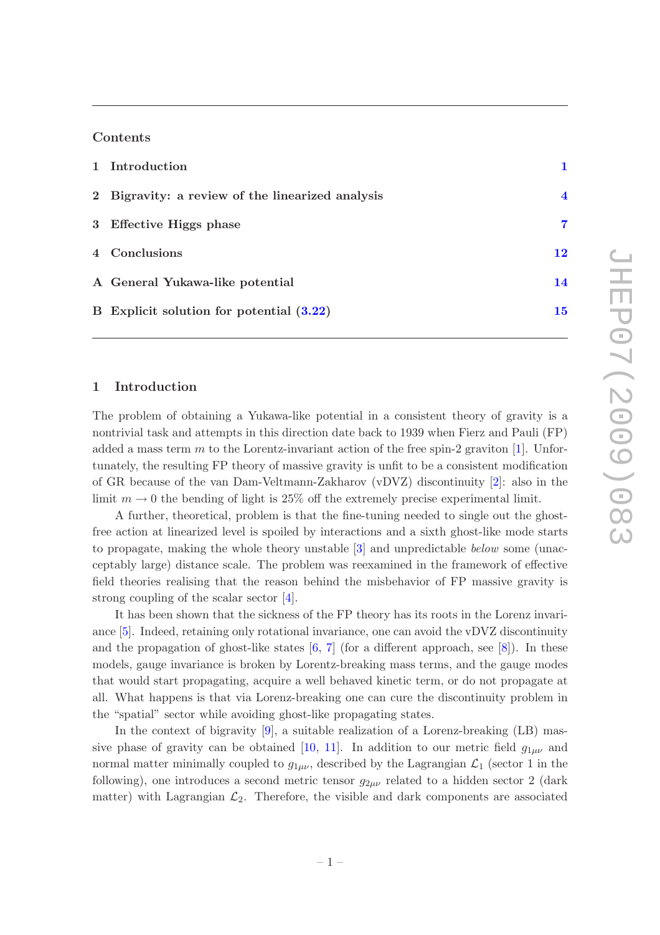#### Contents

| 1 Introduction                                   |                         |
|--------------------------------------------------|-------------------------|
| 2 Bigravity: a review of the linearized analysis | $\overline{\mathbf{4}}$ |
| 3 Effective Higgs phase                          | 7                       |
| 4 Conclusions                                    | 12                      |
| A General Yukawa-like potential                  | 14                      |
| B Explicit solution for potential $(3.22)$       | 15                      |

#### <span id="page-1-0"></span>1 Introduction

The problem of obtaining a Yukawa-like potential in a consistent theory of gravity is a nontrivial task and attempts in this direction date back to 1939 when Fierz and Pauli (FP) added a mass term m to the Lorentz-invariant action of the free spin-2 graviton  $[1]$  $[1]$ . Unfortunately, the resulting FP theory of massive gravity is unfit to be a consistent modification of GR because of the van Dam-Veltmann-Zakharov (vDVZ) discontinuity [\[2\]](#page-16-1): also in the limit  $m \to 0$  the bending of light is 25% off the extremely precise experimental limit.

A further, theoretical, problem is that the fine-tuning needed to single out the ghostfree action at linearized level is spoiled by interactions and a sixth ghost-like mode starts to propagate, making the whole theory unstable [\[3\]](#page-16-2) and unpredictable below some (unacceptably large) distance scale. The problem was reexamined in the framework of effective field theories realising that the reason behind the misbehavior of FP massive gravity is strong coupling of the scalar sector [\[4\]](#page-16-3).

It has been shown that the sickness of the FP theory has its roots in the Lorenz invariance [\[5\]](#page-16-4). Indeed, retaining only rotational invariance, one can avoid the vDVZ discontinuity and the propagation of ghost-like states  $[6, 7]$  $[6, 7]$  (for a different approach, see  $[8]$ ). In these models, gauge invariance is broken by Lorentz-breaking mass terms, and the gauge modes that would start propagating, acquire a well behaved kinetic term, or do not propagate at all. What happens is that via Lorenz-breaking one can cure the discontinuity problem in the "spatial" sector while avoiding ghost-like propagating states.

In the context of bigravity [\[9](#page-16-8)], a suitable realization of a Lorenz-breaking (LB) mas-sive phase of gravity can be obtained [\[10,](#page-16-9) [11](#page-16-10)]. In addition to our metric field  $g_{1\mu\nu}$  and normal matter minimally coupled to  $g_{1\mu\nu}$ , described by the Lagrangian  $\mathcal{L}_1$  (sector 1 in the following), one introduces a second metric tensor  $g_{2\mu\nu}$  related to a hidden sector 2 (dark matter) with Lagrangian  $\mathcal{L}_2$ . Therefore, the visible and dark components are associated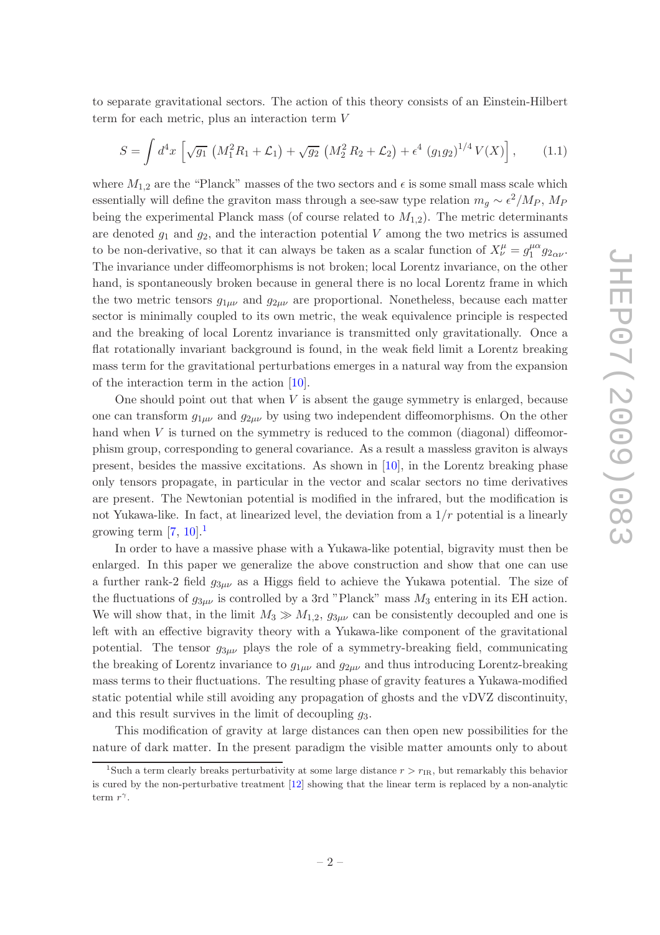to separate gravitational sectors. The action of this theory consists of an Einstein-Hilbert term for each metric, plus an interaction term V

<span id="page-2-1"></span>
$$
S = \int d^4x \left[ \sqrt{g_1} \left( M_1^2 R_1 + \mathcal{L}_1 \right) + \sqrt{g_2} \left( M_2^2 R_2 + \mathcal{L}_2 \right) + \epsilon^4 \left( g_1 g_2 \right)^{1/4} V(X) \right], \tag{1.1}
$$

where  $M_{1,2}$  are the "Planck" masses of the two sectors and  $\epsilon$  is some small mass scale which essentially will define the graviton mass through a see-saw type relation  $m_g \sim \epsilon^2/M_P$ ,  $M_P$ being the experimental Planck mass (of course related to  $M_{1,2}$ ). The metric determinants are denoted  $g_1$  and  $g_2$ , and the interaction potential V among the two metrics is assumed to be non-derivative, so that it can always be taken as a scalar function of  $X^{\mu}_{\nu} = g_1^{\mu\alpha}$  $\int_{1}^{\mu\alpha} g_{2\alpha\nu}$ . The invariance under diffeomorphisms is not broken; local Lorentz invariance, on the other hand, is spontaneously broken because in general there is no local Lorentz frame in which the two metric tensors  $g_{1\mu\nu}$  and  $g_{2\mu\nu}$  are proportional. Nonetheless, because each matter sector is minimally coupled to its own metric, the weak equivalence principle is respected and the breaking of local Lorentz invariance is transmitted only gravitationally. Once a flat rotationally invariant background is found, in the weak field limit a Lorentz breaking mass term for the gravitational perturbations emerges in a natural way from the expansion of the interaction term in the action [\[10\]](#page-16-9).

One should point out that when  $V$  is absent the gauge symmetry is enlarged, because one can transform  $g_{1\mu\nu}$  and  $g_{2\mu\nu}$  by using two independent diffeomorphisms. On the other hand when V is turned on the symmetry is reduced to the common (diagonal) diffeomorphism group, corresponding to general covariance. As a result a massless graviton is always present, besides the massive excitations. As shown in  $[10]$ , in the Lorentz breaking phase only tensors propagate, in particular in the vector and scalar sectors no time derivatives are present. The Newtonian potential is modified in the infrared, but the modification is not Yukawa-like. In fact, at linearized level, the deviation from a  $1/r$  potential is a linearly growing term  $[7, 10]$  $[7, 10]$  $[7, 10]$ .<sup>[1](#page-2-0)</sup>

In order to have a massive phase with a Yukawa-like potential, bigravity must then be enlarged. In this paper we generalize the above construction and show that one can use a further rank-2 field  $g_{3\mu\nu}$  as a Higgs field to achieve the Yukawa potential. The size of the fluctuations of  $g_{3\mu\nu}$  is controlled by a 3rd "Planck" mass  $M_3$  entering in its EH action. We will show that, in the limit  $M_3 \gg M_{1,2}$ ,  $g_{3\mu\nu}$  can be consistently decoupled and one is left with an effective bigravity theory with a Yukawa-like component of the gravitational potential. The tensor  $g_{3\mu\nu}$  plays the role of a symmetry-breaking field, communicating the breaking of Lorentz invariance to  $g_{1\mu\nu}$  and  $g_{2\mu\nu}$  and thus introducing Lorentz-breaking mass terms to their fluctuations. The resulting phase of gravity features a Yukawa-modified static potential while still avoiding any propagation of ghosts and the vDVZ discontinuity, and this result survives in the limit of decoupling  $q_3$ .

This modification of gravity at large distances can then open new possibilities for the nature of dark matter. In the present paradigm the visible matter amounts only to about

<span id="page-2-0"></span><sup>&</sup>lt;sup>1</sup>Such a term clearly breaks perturbativity at some large distance  $r > r_{IR}$ , but remarkably this behavior is cured by the non-perturbative treatment [\[12\]](#page-16-11) showing that the linear term is replaced by a non-analytic term  $r^{\gamma}$ .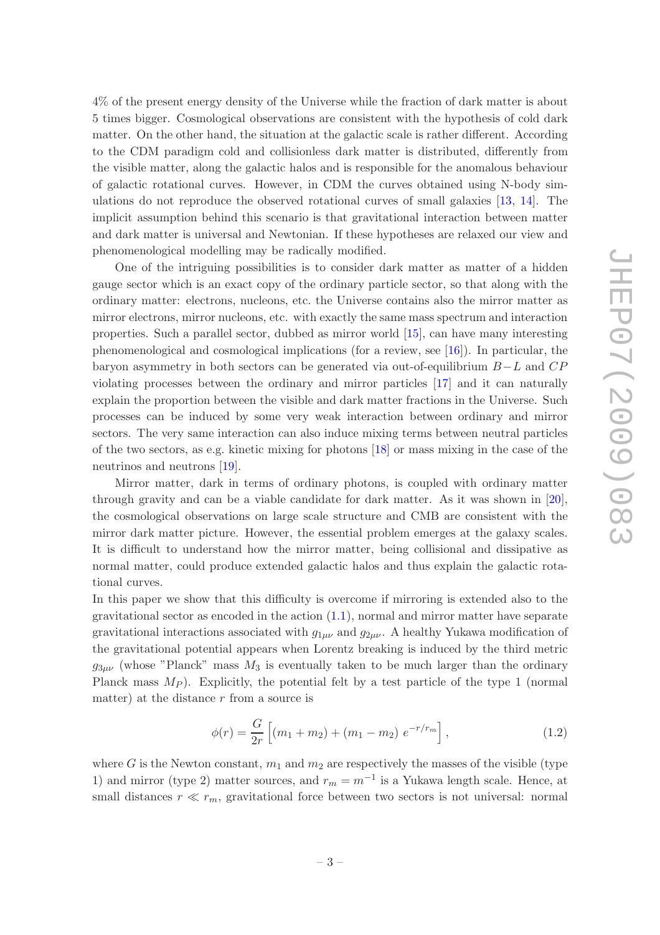4% of the present energy density of the Universe while the fraction of dark matter is about 5 times bigger. Cosmological observations are consistent with the hypothesis of cold dark matter. On the other hand, the situation at the galactic scale is rather different. According to the CDM paradigm cold and collisionless dark matter is distributed, differently from the visible matter, along the galactic halos and is responsible for the anomalous behaviour of galactic rotational curves. However, in CDM the curves obtained using N-body simulations do not reproduce the observed rotational curves of small galaxies [\[13](#page-16-12), [14](#page-17-0)]. The implicit assumption behind this scenario is that gravitational interaction between matter and dark matter is universal and Newtonian. If these hypotheses are relaxed our view and phenomenological modelling may be radically modified.

One of the intriguing possibilities is to consider dark matter as matter of a hidden gauge sector which is an exact copy of the ordinary particle sector, so that along with the ordinary matter: electrons, nucleons, etc. the Universe contains also the mirror matter as mirror electrons, mirror nucleons, etc. with exactly the same mass spectrum and interaction properties. Such a parallel sector, dubbed as mirror world [\[15\]](#page-17-1), can have many interesting phenomenological and cosmological implications (for a review, see [\[16\]](#page-17-2)). In particular, the baryon asymmetry in both sectors can be generated via out-of-equilibrium B−L and CP violating processes between the ordinary and mirror particles [\[17](#page-17-3)] and it can naturally explain the proportion between the visible and dark matter fractions in the Universe. Such processes can be induced by some very weak interaction between ordinary and mirror sectors. The very same interaction can also induce mixing terms between neutral particles of the two sectors, as e.g. kinetic mixing for photons [\[18\]](#page-17-4) or mass mixing in the case of the neutrinos and neutrons [\[19](#page-17-5)].

Mirror matter, dark in terms of ordinary photons, is coupled with ordinary matter through gravity and can be a viable candidate for dark matter. As it was shown in [\[20\]](#page-17-6), the cosmological observations on large scale structure and CMB are consistent with the mirror dark matter picture. However, the essential problem emerges at the galaxy scales. It is difficult to understand how the mirror matter, being collisional and dissipative as normal matter, could produce extended galactic halos and thus explain the galactic rotational curves.

In this paper we show that this difficulty is overcome if mirroring is extended also to the gravitational sector as encoded in the action  $(1.1)$ , normal and mirror matter have separate gravitational interactions associated with  $g_{1\mu\nu}$  and  $g_{2\mu\nu}$ . A healthy Yukawa modification of the gravitational potential appears when Lorentz breaking is induced by the third metric  $g_{3\mu\nu}$  (whose "Planck" mass  $M_3$  is eventually taken to be much larger than the ordinary Planck mass  $M_P$ ). Explicitly, the potential felt by a test particle of the type 1 (normal matter) at the distance  $r$  from a source is

<span id="page-3-0"></span>
$$
\phi(r) = \frac{G}{2r} \left[ (m_1 + m_2) + (m_1 - m_2) e^{-r/r_m} \right],
$$
\n(1.2)

where G is the Newton constant,  $m_1$  and  $m_2$  are respectively the masses of the visible (type 1) and mirror (type 2) matter sources, and  $r_m = m^{-1}$  is a Yukawa length scale. Hence, at small distances  $r \ll r_m$ , gravitational force between two sectors is not universal: normal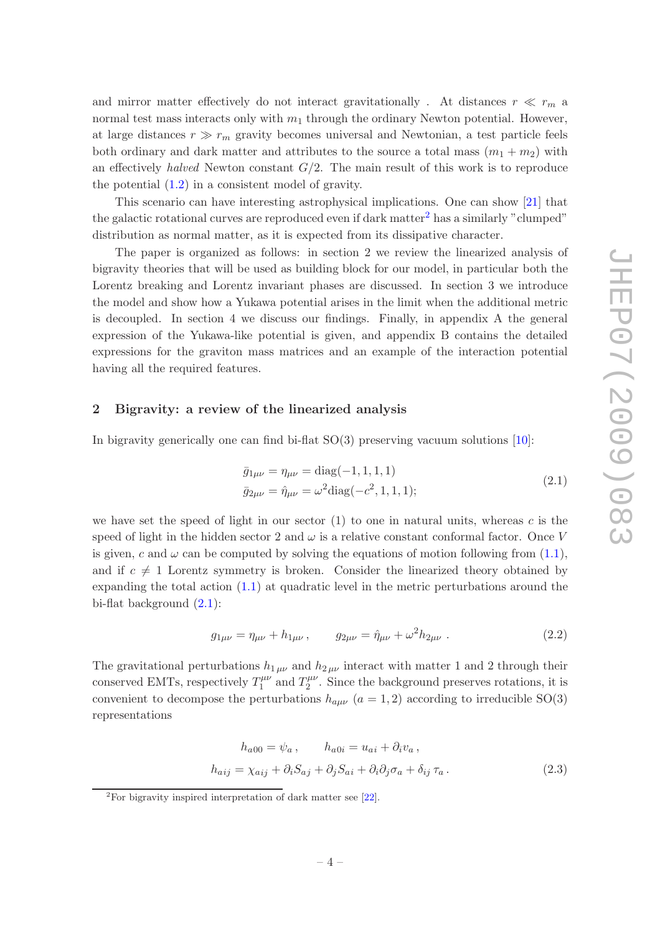and mirror matter effectively do not interact gravitationally. At distances  $r \ll r_m$  a normal test mass interacts only with  $m_1$  through the ordinary Newton potential. However, at large distances  $r \gg r_m$  gravity becomes universal and Newtonian, a test particle feels both ordinary and dark matter and attributes to the source a total mass  $(m_1 + m_2)$  with an effectively halved Newton constant  $G/2$ . The main result of this work is to reproduce the potential [\(1.2\)](#page-3-0) in a consistent model of gravity.

This scenario can have interesting astrophysical implications. One can show [\[21](#page-17-7)] that the galactic rotational curves are reproduced even if dark matter<sup>[2](#page-4-1)</sup> has a similarly "clumped" distribution as normal matter, as it is expected from its dissipative character.

The paper is organized as follows: in section 2 we review the linearized analysis of bigravity theories that will be used as building block for our model, in particular both the Lorentz breaking and Lorentz invariant phases are discussed. In section 3 we introduce the model and show how a Yukawa potential arises in the limit when the additional metric is decoupled. In section 4 we discuss our findings. Finally, in appendix A the general expression of the Yukawa-like potential is given, and appendix B contains the detailed expressions for the graviton mass matrices and an example of the interaction potential having all the required features.

### <span id="page-4-0"></span>2 Bigravity: a review of the linearized analysis

<span id="page-4-2"></span>In bigravity generically one can find bi-flat SO(3) preserving vacuum solutions [\[10\]](#page-16-9):

$$
\bar{g}_{1\mu\nu} = \eta_{\mu\nu} = \text{diag}(-1, 1, 1, 1)
$$
  
\n
$$
\bar{g}_{2\mu\nu} = \hat{\eta}_{\mu\nu} = \omega^2 \text{diag}(-c^2, 1, 1, 1);
$$
\n(2.1)

we have set the speed of light in our sector  $(1)$  to one in natural units, whereas c is the speed of light in the hidden sector 2 and  $\omega$  is a relative constant conformal factor. Once V is given, c and  $\omega$  can be computed by solving the equations of motion following from [\(1.1\)](#page-2-1), and if  $c \neq 1$  Lorentz symmetry is broken. Consider the linearized theory obtained by expanding the total action  $(1.1)$  at quadratic level in the metric perturbations around the bi-flat background [\(2.1\)](#page-4-2):

$$
g_{1\mu\nu} = \eta_{\mu\nu} + h_{1\mu\nu} , \qquad g_{2\mu\nu} = \hat{\eta}_{\mu\nu} + \omega^2 h_{2\mu\nu} . \tag{2.2}
$$

The gravitational perturbations  $h_{1\mu\nu}$  and  $h_{2\mu\nu}$  interact with matter 1 and 2 through their conserved EMTs, respectively  $T_1^{\mu\nu}$  $T_1^{\mu\nu}$  and  $T_2^{\mu\nu}$  $2^{\mu\nu}$ . Since the background preserves rotations, it is convenient to decompose the perturbations  $h_{a\mu\nu}$   $(a = 1, 2)$  according to irreducible SO(3) representations

$$
h_{a00} = \psi_a, \qquad h_{a0i} = u_{ai} + \partial_i v_a,
$$
  

$$
h_{aij} = \chi_{aij} + \partial_i S_{aj} + \partial_j S_{ai} + \partial_i \partial_j \sigma_a + \delta_{ij} \tau_a.
$$
 (2.3)

<span id="page-4-1"></span> ${}^{2}$ For bigravity inspired interpretation of dark matter see [\[22](#page-17-8)].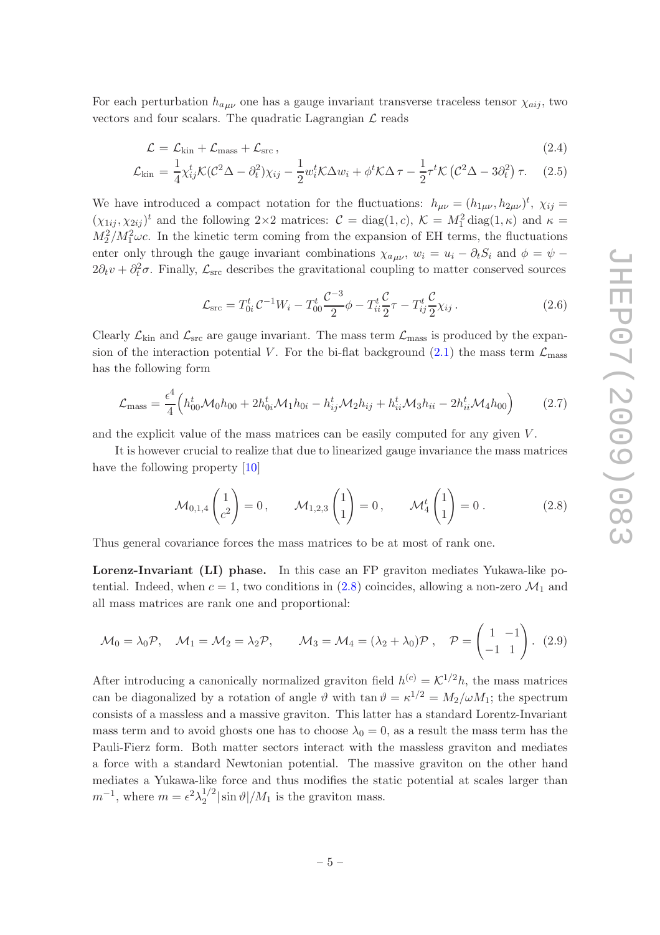For each perturbation  $h_{a\mu\nu}$  one has a gauge invariant transverse traceless tensor  $\chi_{aij}$ , two vectors and four scalars. The quadratic Lagrangian  $\mathcal{L}$  reads

<span id="page-5-1"></span>
$$
\mathcal{L} = \mathcal{L}_{kin} + \mathcal{L}_{mass} + \mathcal{L}_{src},\tag{2.4}
$$

$$
\mathcal{L}_{\text{kin}} = \frac{1}{4} \chi_{ij}^t \mathcal{K} (\mathcal{C}^2 \Delta - \partial_t^2) \chi_{ij} - \frac{1}{2} w_i^t \mathcal{K} \Delta w_i + \phi^t \mathcal{K} \Delta \tau - \frac{1}{2} \tau^t \mathcal{K} (\mathcal{C}^2 \Delta - 3 \partial_t^2) \tau.
$$
 (2.5)

We have introduced a compact notation for the fluctuations:  $h_{\mu\nu} = (h_{1\mu\nu}, h_{2\mu\nu})^t$ ,  $\chi_{ij} =$  $(\chi_{1ij}, \chi_{2ij})^t$  and the following  $2 \times 2$  matrices:  $C = \text{diag}(1, c)$ ,  $\mathcal{K} = M_1^2 \text{diag}(1, \kappa)$  and  $\kappa =$  $M_2^2/M_1^2\omega c$ . In the kinetic term coming from the expansion of EH terms, the fluctuations enter only through the gauge invariant combinations  $\chi_{a\mu\nu}$ ,  $w_i = u_i - \partial_t S_i$  and  $\phi = \psi$  $2\partial_t v + \partial_t^2 \sigma$ . Finally,  $\mathcal{L}_{src}$  describes the gravitational coupling to matter conserved sources

<span id="page-5-2"></span>
$$
\mathcal{L}_{\rm src} = T_{0i}^t \mathcal{C}^{-1} W_i - T_{00}^t \frac{\mathcal{C}^{-3}}{2} \phi - T_{ii}^t \frac{\mathcal{C}}{2} \tau - T_{ij}^t \frac{\mathcal{C}}{2} \chi_{ij} \,. \tag{2.6}
$$

Clearly  $\mathcal{L}_{kin}$  and  $\mathcal{L}_{src}$  are gauge invariant. The mass term  $\mathcal{L}_{mass}$  is produced by the expansion of the interaction potential V. For the bi-flat background  $(2.1)$  the mass term  $\mathcal{L}_{\text{mass}}$ has the following form

$$
\mathcal{L}_{\text{mass}} = \frac{\epsilon^4}{4} \Big( h_{00}^t \mathcal{M}_0 h_{00} + 2h_{0i}^t \mathcal{M}_1 h_{0i} - h_{ij}^t \mathcal{M}_2 h_{ij} + h_{ii}^t \mathcal{M}_3 h_{ii} - 2h_{ii}^t \mathcal{M}_4 h_{00} \Big)
$$
(2.7)

and the explicit value of the mass matrices can be easily computed for any given V.

It is however crucial to realize that due to linearized gauge invariance the mass matrices have the following property [\[10\]](#page-16-9)

<span id="page-5-0"></span>
$$
\mathcal{M}_{0,1,4}\begin{pmatrix} 1 \\ c^2 \end{pmatrix} = 0, \qquad \mathcal{M}_{1,2,3}\begin{pmatrix} 1 \\ 1 \end{pmatrix} = 0, \qquad \mathcal{M}_4^t\begin{pmatrix} 1 \\ 1 \end{pmatrix} = 0.
$$
 (2.8)

Thus general covariance forces the mass matrices to be at most of rank one.

Lorenz-Invariant (LI) phase. In this case an FP graviton mediates Yukawa-like potential. Indeed, when  $c = 1$ , two conditions in [\(2.8\)](#page-5-0) coincides, allowing a non-zero  $\mathcal{M}_1$  and all mass matrices are rank one and proportional:

$$
\mathcal{M}_0 = \lambda_0 \mathcal{P}, \quad \mathcal{M}_1 = \mathcal{M}_2 = \lambda_2 \mathcal{P}, \qquad \mathcal{M}_3 = \mathcal{M}_4 = (\lambda_2 + \lambda_0) \mathcal{P}, \quad \mathcal{P} = \begin{pmatrix} 1 & -1 \\ -1 & 1 \end{pmatrix}. \tag{2.9}
$$

After introducing a canonically normalized graviton field  $h^{(c)} = \mathcal{K}^{1/2}h$ , the mass matrices can be diagonalized by a rotation of angle  $\vartheta$  with  $\tan \vartheta = \kappa^{1/2} = M_2/\omega M_1$ ; the spectrum consists of a massless and a massive graviton. This latter has a standard Lorentz-Invariant mass term and to avoid ghosts one has to choose  $\lambda_0 = 0$ , as a result the mass term has the Pauli-Fierz form. Both matter sectors interact with the massless graviton and mediates a force with a standard Newtonian potential. The massive graviton on the other hand mediates a Yukawa-like force and thus modifies the static potential at scales larger than  $m^{-1}$ , where  $m = \epsilon^2 \lambda_2^{1/2}$  $\int_2^{1/2} |\sin \vartheta|/M_1$  is the graviton mass.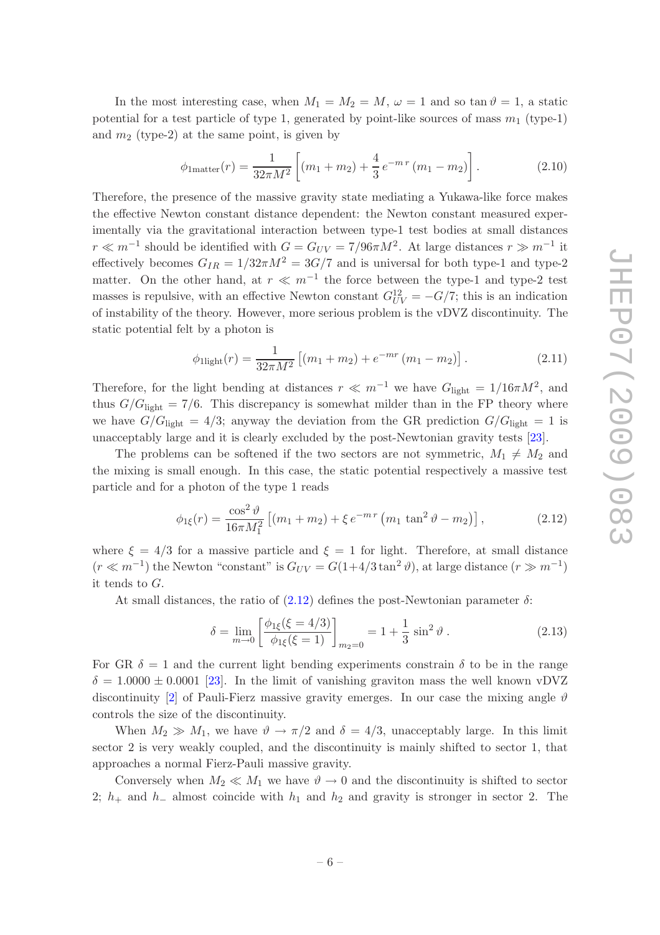In the most interesting case, when  $M_1 = M_2 = M$ ,  $\omega = 1$  and so tan  $\vartheta = 1$ , a static potential for a test particle of type 1, generated by point-like sources of mass  $m_1$  (type-1) and  $m_2$  (type-2) at the same point, is given by

$$
\phi_{1\text{matter}}(r) = \frac{1}{32\pi M^2} \left[ (m_1 + m_2) + \frac{4}{3} e^{-m\,r} \left( m_1 - m_2 \right) \right]. \tag{2.10}
$$

Therefore, the presence of the massive gravity state mediating a Yukawa-like force makes the effective Newton constant distance dependent: the Newton constant measured experimentally via the gravitational interaction between type-1 test bodies at small distances  $r \ll m^{-1}$  should be identified with  $G = G_{UV} = 7/96 \pi M^2$ . At large distances  $r \gg m^{-1}$  it effectively becomes  $G_{IR} = 1/32\pi M^2 = 3G/7$  and is universal for both type-1 and type-2 matter. On the other hand, at  $r \ll m^{-1}$  the force between the type-1 and type-2 test masses is repulsive, with an effective Newton constant  $G_{UV}^{12} = -G/7$ ; this is an indication of instability of the theory. However, more serious problem is the vDVZ discontinuity. The static potential felt by a photon is

$$
\phi_{\text{light}}(r) = \frac{1}{32\pi M^2} \left[ (m_1 + m_2) + e^{-mr} (m_1 - m_2) \right]. \tag{2.11}
$$

Therefore, for the light bending at distances  $r \ll m^{-1}$  we have  $G_{\text{light}} = 1/16 \pi M^2$ , and thus  $G/G_{\text{light}} = 7/6$ . This discrepancy is somewhat milder than in the FP theory where we have  $G/G_{\text{light}} = 4/3$ ; anyway the deviation from the GR prediction  $G/G_{\text{light}} = 1$  is unacceptably large and it is clearly excluded by the post-Newtonian gravity tests [\[23\]](#page-17-9).

The problems can be softened if the two sectors are not symmetric,  $M_1 \neq M_2$  and the mixing is small enough. In this case, the static potential respectively a massive test particle and for a photon of the type 1 reads

<span id="page-6-0"></span>
$$
\phi_{1\xi}(r) = \frac{\cos^2 \vartheta}{16\pi M_1^2} \left[ (m_1 + m_2) + \xi \, e^{-m\,r} \left( m_1 \, \tan^2 \vartheta - m_2 \right) \right],\tag{2.12}
$$

where  $\xi = 4/3$  for a massive particle and  $\xi = 1$  for light. Therefore, at small distance  $(r \ll m^{-1})$  the Newton "constant" is  $G_{UV} = G(1+4/3\tan^2\theta)$ , at large distance  $(r \gg m^{-1})$ it tends to G.

At small distances, the ratio of  $(2.12)$  defines the post-Newtonian parameter  $\delta$ :

$$
\delta = \lim_{m \to 0} \left[ \frac{\phi_{1\xi}(\xi = 4/3)}{\phi_{1\xi}(\xi = 1)} \right]_{m_2 = 0} = 1 + \frac{1}{3} \sin^2 \vartheta . \tag{2.13}
$$

For GR  $\delta = 1$  and the current light bending experiments constrain  $\delta$  to be in the range  $\delta = 1.0000 \pm 0.0001$  [\[23\]](#page-17-9). In the limit of vanishing graviton mass the well known vDVZ discontinuity [\[2](#page-16-1)] of Pauli-Fierz massive gravity emerges. In our case the mixing angle  $\vartheta$ controls the size of the discontinuity.

When  $M_2 \gg M_1$ , we have  $\vartheta \to \pi/2$  and  $\delta = 4/3$ , unacceptably large. In this limit sector 2 is very weakly coupled, and the discontinuity is mainly shifted to sector 1, that approaches a normal Fierz-Pauli massive gravity.

Conversely when  $M_2 \ll M_1$  we have  $\vartheta \to 0$  and the discontinuity is shifted to sector 2;  $h_+$  and  $h_-$  almost coincide with  $h_1$  and  $h_2$  and gravity is stronger in sector 2. The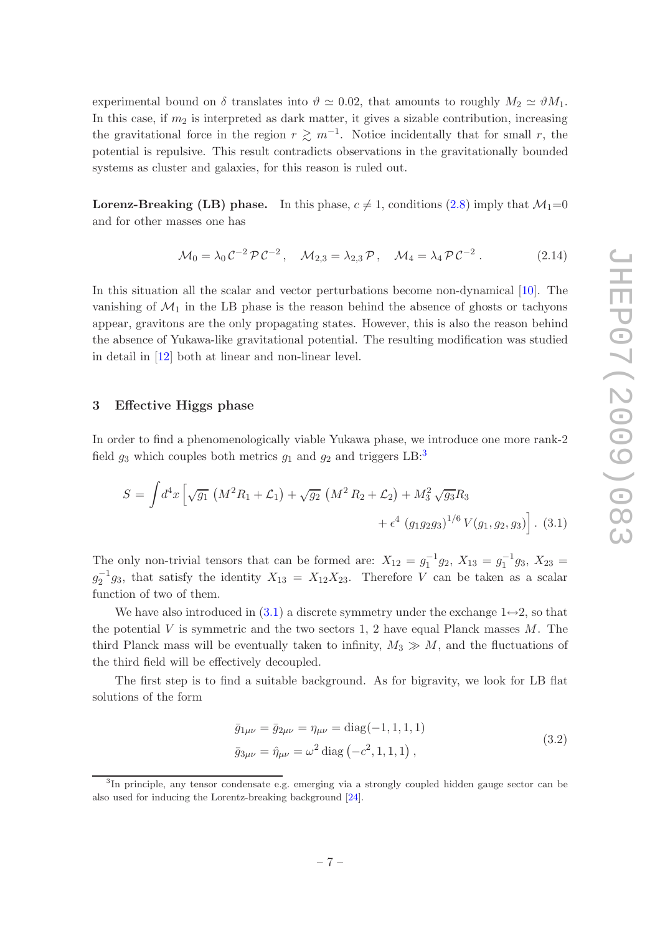experimental bound on  $\delta$  translates into  $\vartheta \simeq 0.02$ , that amounts to roughly  $M_2 \simeq \vartheta M_1$ . In this case, if  $m_2$  is interpreted as dark matter, it gives a sizable contribution, increasing the gravitational force in the region  $r \gtrsim m^{-1}$ . Notice incidentally that for small r, the potential is repulsive. This result contradicts observations in the gravitationally bounded systems as cluster and galaxies, for this reason is ruled out.

**Lorenz-Breaking (LB) phase.** In this phase,  $c \neq 1$ , conditions [\(2.8\)](#page-5-0) imply that  $\mathcal{M}_1=0$ and for other masses one has

$$
\mathcal{M}_0 = \lambda_0 \mathcal{C}^{-2} \mathcal{P} \mathcal{C}^{-2}, \quad \mathcal{M}_{2,3} = \lambda_{2,3} \mathcal{P}, \quad \mathcal{M}_4 = \lambda_4 \mathcal{P} \mathcal{C}^{-2}. \tag{2.14}
$$

In this situation all the scalar and vector perturbations become non-dynamical [\[10](#page-16-9)]. The vanishing of  $\mathcal{M}_1$  in the LB phase is the reason behind the absence of ghosts or tachyons appear, gravitons are the only propagating states. However, this is also the reason behind the absence of Yukawa-like gravitational potential. The resulting modification was studied in detail in [\[12](#page-16-11)] both at linear and non-linear level.

#### <span id="page-7-0"></span>3 Effective Higgs phase

In order to find a phenomenologically viable Yukawa phase, we introduce one more rank-2 field  $g_3$  $g_3$  which couples both metrics  $g_1$  and  $g_2$  and triggers LB:<sup>3</sup>

<span id="page-7-2"></span>
$$
S = \int d^4x \left[ \sqrt{g_1} \left( M^2 R_1 + \mathcal{L}_1 \right) + \sqrt{g_2} \left( M^2 R_2 + \mathcal{L}_2 \right) + M_3^2 \sqrt{g_3} R_3 \right. \\ \left. + \epsilon^4 \left( g_1 g_2 g_3 \right)^{1/6} V(g_1, g_2, g_3) \right]. \tag{3.1}
$$

The only non-trivial tensors that can be formed are:  $X_{12} = g_1^{-1}g_2$ ,  $X_{13} = g_1^{-1}g_3$ ,  $X_{23} = g_2^{-1}g_3$  $g_2^{-1}g_3$ , that satisfy the identity  $X_{13} = X_{12}X_{23}$ . Therefore V can be taken as a scalar function of two of them.

We have also introduced in [\(3.1\)](#page-7-2) a discrete symmetry under the exchange  $1 \leftrightarrow 2$ , so that the potential  $V$  is symmetric and the two sectors 1, 2 have equal Planck masses  $M$ . The third Planck mass will be eventually taken to infinity,  $M_3 \gg M$ , and the fluctuations of the third field will be effectively decoupled.

The first step is to find a suitable background. As for bigravity, we look for LB flat solutions of the form

$$
\bar{g}_{1\mu\nu} = \bar{g}_{2\mu\nu} = \eta_{\mu\nu} = \text{diag}(-1, 1, 1, 1)
$$
  
\n
$$
\bar{g}_{3\mu\nu} = \hat{\eta}_{\mu\nu} = \omega^2 \text{diag}(-c^2, 1, 1, 1),
$$
\n(3.2)

<span id="page-7-3"></span><span id="page-7-1"></span><sup>&</sup>lt;sup>3</sup>In principle, any tensor condensate e.g. emerging via a strongly coupled hidden gauge sector can be also used for inducing the Lorentz-breaking background [\[24](#page-18-0)].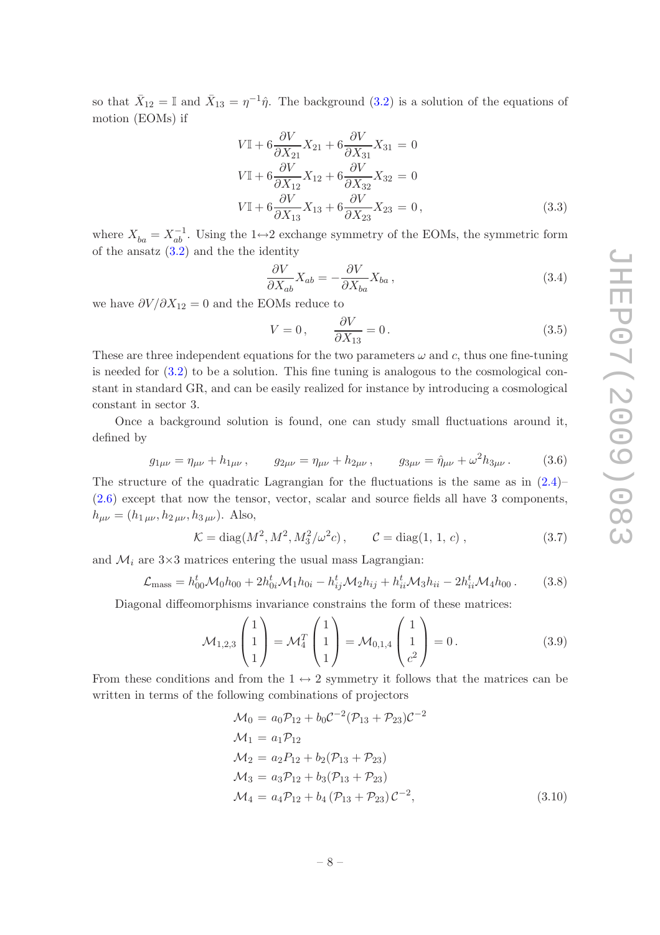so that  $\bar{X}_{12} = \mathbb{I}$  and  $\bar{X}_{13} = \eta^{-1}\hat{\eta}$ . The background [\(3.2\)](#page-7-3) is a solution of the equations of motion (EOMs) if

$$
V\mathbb{I} + 6\frac{\partial V}{\partial X_{21}}X_{21} + 6\frac{\partial V}{\partial X_{31}}X_{31} = 0
$$
  
\n
$$
V\mathbb{I} + 6\frac{\partial V}{\partial X_{12}}X_{12} + 6\frac{\partial V}{\partial X_{32}}X_{32} = 0
$$
  
\n
$$
V\mathbb{I} + 6\frac{\partial V}{\partial X_{13}}X_{13} + 6\frac{\partial V}{\partial X_{23}}X_{23} = 0,
$$
\n(3.3)

where  $X_{ba} = X_{ab}^{-1}$ . Using the 1 $\leftrightarrow$ 2 exchange symmetry of the EOMs, the symmetric form of the ansatz  $(3.2)$  and the the identity

$$
\frac{\partial V}{\partial X_{ab}} X_{ab} = -\frac{\partial V}{\partial X_{ba}} X_{ba} , \qquad (3.4)
$$

we have  $\partial V/\partial X_{12} = 0$  and the EOMs reduce to

<span id="page-8-1"></span>
$$
V = 0, \qquad \frac{\partial V}{\partial X_{13}} = 0. \tag{3.5}
$$

These are three independent equations for the two parameters  $\omega$  and c, thus one fine-tuning is needed for [\(3.2\)](#page-7-3) to be a solution. This fine tuning is analogous to the cosmological constant in standard GR, and can be easily realized for instance by introducing a cosmological constant in sector 3.

Once a background solution is found, one can study small fluctuations around it, defined by

$$
g_{1\mu\nu} = \eta_{\mu\nu} + h_{1\mu\nu} , \qquad g_{2\mu\nu} = \eta_{\mu\nu} + h_{2\mu\nu} , \qquad g_{3\mu\nu} = \hat{\eta}_{\mu\nu} + \omega^2 h_{3\mu\nu} . \tag{3.6}
$$

The structure of the quadratic Lagrangian for the fluctuations is the same as in  $(2.4)$ – [\(2.6\)](#page-5-2) except that now the tensor, vector, scalar and source fields all have 3 components,  $h_{\mu\nu} = (h_{1\,\mu\nu}, h_{2\,\mu\nu}, h_{3\,\mu\nu})$ . Also,

$$
\mathcal{K} = \text{diag}(M^2, M^2, M_3^2/\omega^2 c), \qquad \mathcal{C} = \text{diag}(1, 1, c), \qquad (3.7)
$$

and  $\mathcal{M}_i$  are  $3\times3$  matrices entering the usual mass Lagrangian:

$$
\mathcal{L}_{\text{mass}} = h_{00}^t \mathcal{M}_0 h_{00} + 2h_{0i}^t \mathcal{M}_1 h_{0i} - h_{ij}^t \mathcal{M}_2 h_{ij} + h_{ii}^t \mathcal{M}_3 h_{ii} - 2h_{ii}^t \mathcal{M}_4 h_{00} \,. \tag{3.8}
$$

Diagonal diffeomorphisms invariance constrains the form of these matrices:

$$
\mathcal{M}_{1,2,3} \begin{pmatrix} 1 \\ 1 \\ 1 \end{pmatrix} = \mathcal{M}_4^T \begin{pmatrix} 1 \\ 1 \\ 1 \end{pmatrix} = \mathcal{M}_{0,1,4} \begin{pmatrix} 1 \\ 1 \\ c^2 \end{pmatrix} = 0.
$$
 (3.9)

From these conditions and from the  $1 \leftrightarrow 2$  symmetry it follows that the matrices can be written in terms of the following combinations of projectors

<span id="page-8-0"></span>
$$
\mathcal{M}_0 = a_0 \mathcal{P}_{12} + b_0 \mathcal{C}^{-2} (\mathcal{P}_{13} + \mathcal{P}_{23}) \mathcal{C}^{-2}
$$
  
\n
$$
\mathcal{M}_1 = a_1 \mathcal{P}_{12}
$$
  
\n
$$
\mathcal{M}_2 = a_2 \mathcal{P}_{12} + b_2 (\mathcal{P}_{13} + \mathcal{P}_{23})
$$
  
\n
$$
\mathcal{M}_3 = a_3 \mathcal{P}_{12} + b_3 (\mathcal{P}_{13} + \mathcal{P}_{23})
$$
  
\n
$$
\mathcal{M}_4 = a_4 \mathcal{P}_{12} + b_4 (\mathcal{P}_{13} + \mathcal{P}_{23}) \mathcal{C}^{-2},
$$
\n(3.10)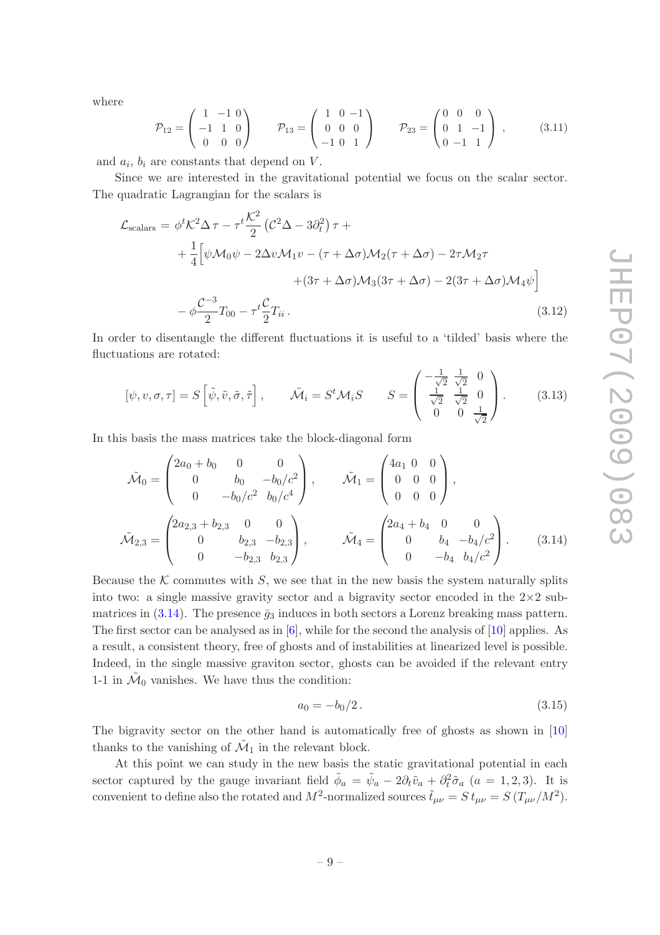where

$$
\mathcal{P}_{12} = \begin{pmatrix} 1 & -1 & 0 \\ -1 & 1 & 0 \\ 0 & 0 & 0 \end{pmatrix} \qquad \mathcal{P}_{13} = \begin{pmatrix} 1 & 0 & -1 \\ 0 & 0 & 0 \\ -1 & 0 & 1 \end{pmatrix} \qquad \mathcal{P}_{23} = \begin{pmatrix} 0 & 0 & 0 \\ 0 & 1 & -1 \\ 0 & -1 & 1 \end{pmatrix}, \qquad (3.11)
$$

and  $a_i$ ,  $b_i$  are constants that depend on  $V$ .

Since we are interested in the gravitational potential we focus on the scalar sector. The quadratic Lagrangian for the scalars is

$$
\mathcal{L}_{\text{scalars}} = \phi^t \mathcal{K}^2 \Delta \tau - \tau^t \frac{\mathcal{K}^2}{2} \left( \mathcal{C}^2 \Delta - 3 \partial_t^2 \right) \tau +
$$
  
+ 
$$
\frac{1}{4} \left[ \psi \mathcal{M}_0 \psi - 2 \Delta v \mathcal{M}_1 v - (\tau + \Delta \sigma) \mathcal{M}_2 (\tau + \Delta \sigma) - 2 \tau \mathcal{M}_2 \tau + (3 \tau + \Delta \sigma) \mathcal{M}_3 (3 \tau + \Delta \sigma) - 2 (3 \tau + \Delta \sigma) \mathcal{M}_4 \psi \right]
$$
  
- 
$$
\phi \frac{\mathcal{C}^{-3}}{2} T_{00} - \tau^t \frac{\mathcal{C}}{2} T_{ii} .
$$
 (3.12)

In order to disentangle the different fluctuations it is useful to a 'tilded' basis where the fluctuations are rotated:

$$
[\psi, v, \sigma, \tau] = S\left[\tilde{\psi}, \tilde{v}, \tilde{\sigma}, \tilde{\tau}\right], \qquad \tilde{\mathcal{M}}_i = S^t \mathcal{M}_i S \qquad S = \begin{pmatrix} -\frac{1}{\sqrt{2}} & \frac{1}{\sqrt{2}} & 0\\ \frac{1}{\sqrt{2}} & \frac{1}{\sqrt{2}} & 0\\ 0 & 0 & \frac{1}{\sqrt{2}} \end{pmatrix}.
$$
 (3.13)

In this basis the mass matrices take the block-diagonal form

$$
\tilde{\mathcal{M}}_0 = \begin{pmatrix} 2a_0 + b_0 & 0 & 0 \\ 0 & b_0 & -b_0/c^2 \\ 0 & -b_0/c^2 & b_0/c^4 \end{pmatrix}, \qquad \tilde{\mathcal{M}}_1 = \begin{pmatrix} 4a_1 & 0 & 0 \\ 0 & 0 & 0 \\ 0 & 0 & 0 \end{pmatrix},
$$

$$
\tilde{\mathcal{M}}_{2,3} = \begin{pmatrix} 2a_{2,3} + b_{2,3} & 0 & 0 \\ 0 & b_{2,3} & -b_{2,3} \\ 0 & -b_{2,3} & b_{2,3} \end{pmatrix}, \qquad \tilde{\mathcal{M}}_4 = \begin{pmatrix} 2a_4 + b_4 & 0 & 0 \\ 0 & b_4 & -b_4/c^2 \\ 0 & -b_4 & b_4/c^2 \end{pmatrix}.
$$
(3.14)

Because the  $K$  commutes with  $S$ , we see that in the new basis the system naturally splits into two: a single massive gravity sector and a bigravity sector encoded in the  $2\times 2$  sub-matrices in [\(3.14\)](#page-9-0). The presence  $\bar{q}_3$  induces in both sectors a Lorenz breaking mass pattern. The first sector can be analysed as in [\[6](#page-16-5)], while for the second the analysis of [\[10](#page-16-9)] applies. As a result, a consistent theory, free of ghosts and of instabilities at linearized level is possible. Indeed, in the single massive graviton sector, ghosts can be avoided if the relevant entry 1-1 in  $\tilde{\mathcal{M}}_0$  vanishes. We have thus the condition:

<span id="page-9-1"></span><span id="page-9-0"></span>
$$
a_0 = -b_0/2. \t\t(3.15)
$$

The bigravity sector on the other hand is automatically free of ghosts as shown in [\[10\]](#page-16-9) thanks to the vanishing of  $\tilde{\mathcal{M}}_1$  in the relevant block.

At this point we can study in the new basis the static gravitational potential in each sector captured by the gauge invariant field  $\tilde{\phi}_a = \tilde{\psi}_a - 2\partial_t \tilde{v}_a + \partial_t^2 \tilde{\sigma}_a$   $(a = 1, 2, 3)$ . It is convenient to define also the rotated and  $M^2$ -normalized sources  $\tilde{t}_{\mu\nu} = S t_{\mu\nu} = S (T_{\mu\nu}/M^2)$ .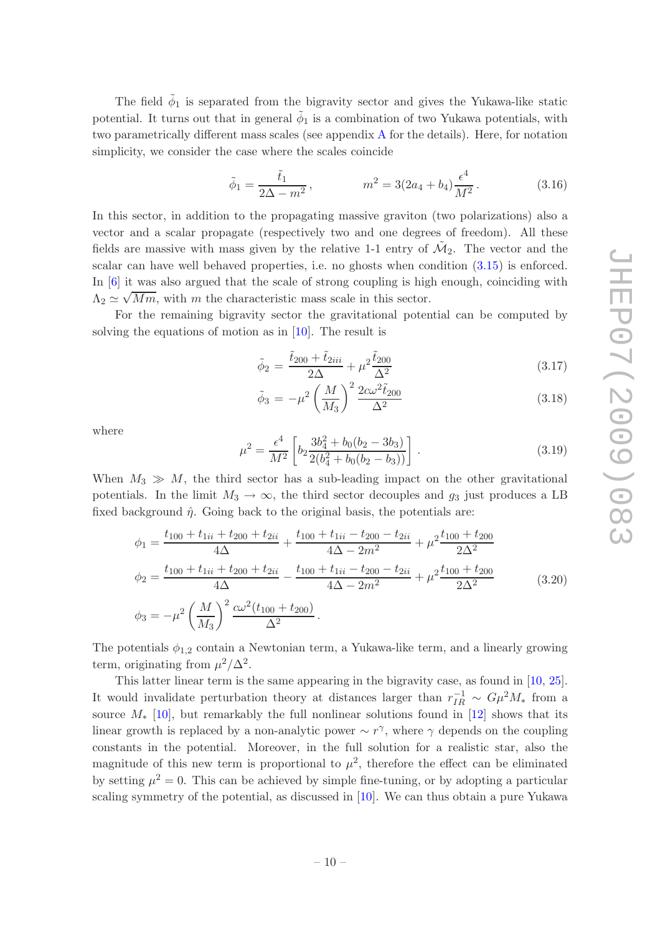The field  $\tilde{\phi}_1$  is separated from the bigravity sector and gives the Yukawa-like static potential. It turns out that in general  $\tilde{\phi}_1$  is a combination of two Yukawa potentials, with two parametrically different mass scales (see appendix [A](#page-14-0) for the details). Here, for notation simplicity, we consider the case where the scales coincide

$$
\tilde{\phi}_1 = \frac{\tilde{t}_1}{2\Delta - m^2}, \qquad m^2 = 3(2a_4 + b_4)\frac{\epsilon^4}{M^2}.
$$
 (3.16)

In this sector, in addition to the propagating massive graviton (two polarizations) also a vector and a scalar propagate (respectively two and one degrees of freedom). All these fields are massive with mass given by the relative 1-1 entry of  $\tilde{\mathcal{M}}_2$ . The vector and the scalar can have well behaved properties, i.e. no ghosts when condition [\(3.15\)](#page-9-1) is enforced. In [\[6\]](#page-16-5) it was also argued that the scale of strong coupling is high enough, coinciding with  $\Lambda_2 \simeq \sqrt{Mm}$ , with m the characteristic mass scale in this sector.

For the remaining bigravity sector the gravitational potential can be computed by solving the equations of motion as in [\[10](#page-16-9)]. The result is

$$
\tilde{\phi}_2 = \frac{\tilde{t}_{200} + \tilde{t}_{2iii}}{2\Delta} + \mu^2 \frac{\tilde{t}_{200}}{\Delta^2} \tag{3.17}
$$

$$
\tilde{\phi}_3 = -\mu^2 \left(\frac{M}{M_3}\right)^2 \frac{2c\omega^2 \tilde{t}_{200}}{\Delta^2} \tag{3.18}
$$

where

$$
\mu^2 = \frac{\epsilon^4}{M^2} \left[ b_2 \frac{3b_4^2 + b_0(b_2 - 3b_3)}{2(b_4^2 + b_0(b_2 - b_3))} \right].
$$
\n(3.19)

When  $M_3 \gg M$ , the third sector has a sub-leading impact on the other gravitational potentials. In the limit  $M_3 \to \infty$ , the third sector decouples and  $g_3$  just produces a LB fixed background  $\hat{\eta}$ . Going back to the original basis, the potentials are:

$$
\phi_1 = \frac{t_{100} + t_{1ii} + t_{200} + t_{2ii}}{4\Delta} + \frac{t_{100} + t_{1ii} - t_{200} - t_{2ii}}{4\Delta - 2m^2} + \mu^2 \frac{t_{100} + t_{200}}{2\Delta^2}
$$
\n
$$
\phi_2 = \frac{t_{100} + t_{1ii} + t_{200} + t_{2ii}}{4\Delta} - \frac{t_{100} + t_{1ii} - t_{200} - t_{2ii}}{4\Delta - 2m^2} + \mu^2 \frac{t_{100} + t_{200}}{2\Delta^2}
$$
\n
$$
\phi_3 = -\mu^2 \left(\frac{M}{M_3}\right)^2 \frac{c\omega^2 (t_{100} + t_{200})}{\Delta^2}.
$$
\n(3.20)

The potentials  $\phi_{1,2}$  contain a Newtonian term, a Yukawa-like term, and a linearly growing term, originating from  $\mu^2/\Delta^2$ .

This latter linear term is the same appearing in the bigravity case, as found in [\[10,](#page-16-9) [25\]](#page-18-1). It would invalidate perturbation theory at distances larger than  $r_{IR}^{-1} \sim G\mu^2 M_*$  from a source  $M_*$  [\[10](#page-16-9)], but remarkably the full nonlinear solutions found in [\[12\]](#page-16-11) shows that its linear growth is replaced by a non-analytic power  $\sim r^{\gamma}$ , where  $\gamma$  depends on the coupling constants in the potential. Moreover, in the full solution for a realistic star, also the magnitude of this new term is proportional to  $\mu^2$ , therefore the effect can be eliminated by setting  $\mu^2 = 0$ . This can be achieved by simple fine-tuning, or by adopting a particular scaling symmetry of the potential, as discussed in [\[10](#page-16-9)]. We can thus obtain a pure Yukawa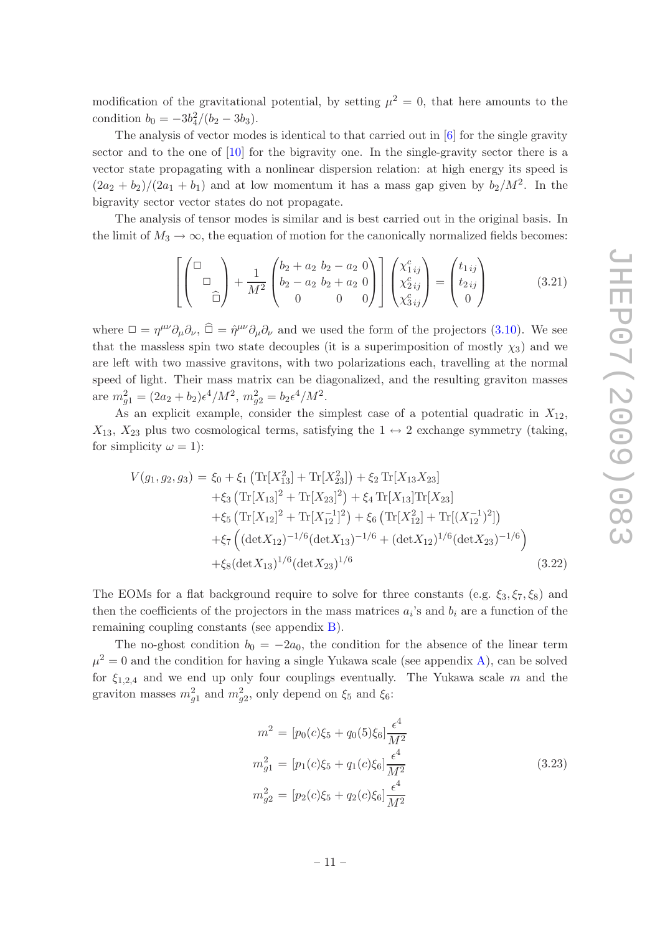modification of the gravitational potential, by setting  $\mu^2 = 0$ , that here amounts to the condition  $b_0 = -3b_4^2/(b_2 - 3b_3)$ .

The analysis of vector modes is identical to that carried out in [\[6](#page-16-5)] for the single gravity sector and to the one of [\[10](#page-16-9)] for the bigravity one. In the single-gravity sector there is a vector state propagating with a nonlinear dispersion relation: at high energy its speed is  $(2a_2 + b_2)/(2a_1 + b_1)$  and at low momentum it has a mass gap given by  $b_2/M^2$ . In the bigravity sector vector states do not propagate.

The analysis of tensor modes is similar and is best carried out in the original basis. In the limit of  $M_3 \to \infty$ , the equation of motion for the canonically normalized fields becomes:

$$
\left[ \begin{pmatrix} \Box \\ & \Box \\ & & \widehat{\Box} \end{pmatrix} + \frac{1}{M^2} \begin{pmatrix} b_2 + a_2 & b_2 - a_2 & 0 \\ b_2 - a_2 & b_2 + a_2 & 0 \\ 0 & 0 & 0 \end{pmatrix} \right] \begin{pmatrix} \chi_{1ij}^c \\ \chi_{2ij}^c \\ \chi_{3ij}^c \end{pmatrix} = \begin{pmatrix} t_{1ij} \\ t_{2ij} \\ 0 \end{pmatrix}
$$
(3.21)

where  $\Box = \eta^{\mu\nu}\partial_{\mu}\partial_{\nu}$ ,  $\hat{\Box} = \hat{\eta}^{\mu\nu}\partial_{\mu}\partial_{\nu}$  and we used the form of the projectors [\(3.10\)](#page-8-0). We see that the massless spin two state decouples (it is a superimposition of mostly  $\chi_3$ ) and we are left with two massive gravitons, with two polarizations each, travelling at the normal speed of light. Their mass matrix can be diagonalized, and the resulting graviton masses are  $m_{g1}^2 = (2a_2 + b_2)\epsilon^4/M^2$ ,  $m_{g2}^2 = b_2\epsilon^4/M^2$ .

As an explicit example, consider the simplest case of a potential quadratic in  $X_{12}$ ,  $X_{13}$ ,  $X_{23}$  plus two cosmological terms, satisfying the  $1 \leftrightarrow 2$  exchange symmetry (taking, for simplicity  $\omega = 1$ :

<span id="page-11-0"></span>
$$
V(g_1, g_2, g_3) = \xi_0 + \xi_1 \left( \text{Tr}[X_{13}^2] + \text{Tr}[X_{23}^2] \right) + \xi_2 \text{Tr}[X_{13}X_{23}] + \xi_3 \left( \text{Tr}[X_{13}]^2 + \text{Tr}[X_{23}]^2 \right) + \xi_4 \text{Tr}[X_{13}] \text{Tr}[X_{23}] + \xi_5 \left( \text{Tr}[X_{12}]^2 + \text{Tr}[X_{12}^{-1}]^2 \right) + \xi_6 \left( \text{Tr}[X_{12}^2] + \text{Tr}[(X_{12}^{-1})^2] \right) + \xi_7 \left( (\det X_{12})^{-1/6} (\det X_{13})^{-1/6} + (\det X_{12})^{1/6} (\det X_{23})^{-1/6} \right) + \xi_8 (\det X_{13})^{1/6} (\det X_{23})^{1/6}
$$
(3.22)

The EOMs for a flat background require to solve for three constants (e.g.  $\xi_3,\xi_7,\xi_8$ ) and then the coefficients of the projectors in the mass matrices  $a_i$ 's and  $b_i$  are a function of the remaining coupling constants (see appendix [B\)](#page-15-0).

The no-ghost condition  $b_0 = -2a_0$ , the condition for the absence of the linear term  $\mu^2 = 0$  and the condition for having a single Yukawa scale (see appendix [A\)](#page-14-0), can be solved for  $\xi_{1,2,4}$  and we end up only four couplings eventually. The Yukawa scale m and the graviton masses  $m_{g1}^2$  and  $m_{g2}^2$ , only depend on  $\xi_5$  and  $\xi_6$ :

<span id="page-11-1"></span>
$$
m^{2} = [p_{0}(c)\xi_{5} + q_{0}(5)\xi_{6}] \frac{\epsilon^{4}}{M^{2}}
$$
  
\n
$$
m_{g1}^{2} = [p_{1}(c)\xi_{5} + q_{1}(c)\xi_{6}] \frac{\epsilon^{4}}{M^{2}}
$$
  
\n
$$
m_{g2}^{2} = [p_{2}(c)\xi_{5} + q_{2}(c)\xi_{6}] \frac{\epsilon^{4}}{M^{2}}
$$
\n(3.23)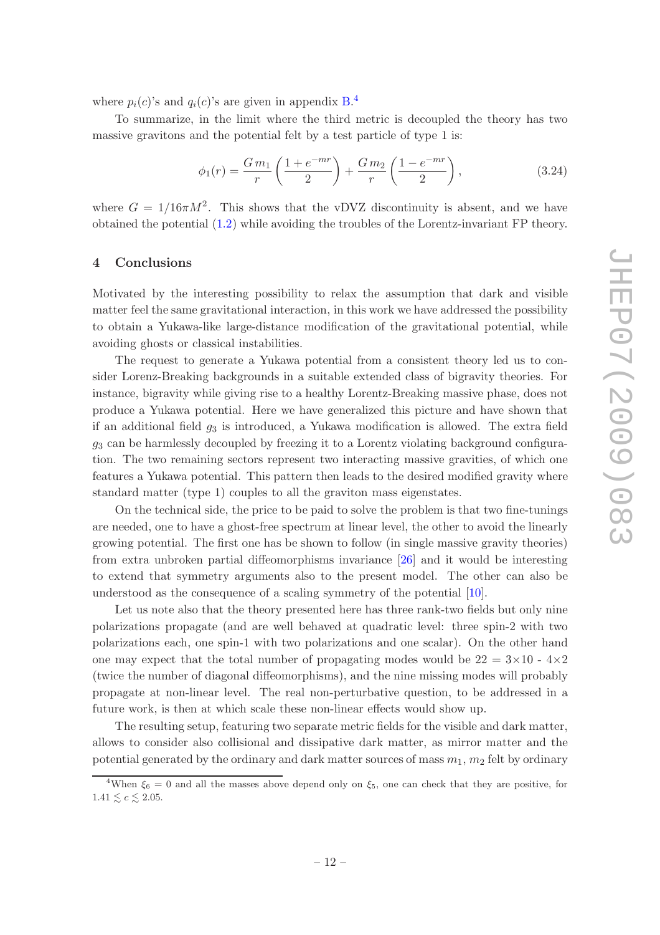where  $p_i(c)$ 's and  $q_i(c)$ 's are given in appendix [B.](#page-15-0)<sup>[4](#page-12-1)</sup>

To summarize, in the limit where the third metric is decoupled the theory has two massive gravitons and the potential felt by a test particle of type 1 is:

<span id="page-12-2"></span>
$$
\phi_1(r) = \frac{Gm_1}{r} \left( \frac{1 + e^{-mr}}{2} \right) + \frac{Gm_2}{r} \left( \frac{1 - e^{-mr}}{2} \right),\tag{3.24}
$$

where  $G = 1/16\pi M^2$ . This shows that the vDVZ discontinuity is absent, and we have obtained the potential [\(1.2\)](#page-3-0) while avoiding the troubles of the Lorentz-invariant FP theory.

### <span id="page-12-0"></span>4 Conclusions

Motivated by the interesting possibility to relax the assumption that dark and visible matter feel the same gravitational interaction, in this work we have addressed the possibility to obtain a Yukawa-like large-distance modification of the gravitational potential, while avoiding ghosts or classical instabilities.

The request to generate a Yukawa potential from a consistent theory led us to consider Lorenz-Breaking backgrounds in a suitable extended class of bigravity theories. For instance, bigravity while giving rise to a healthy Lorentz-Breaking massive phase, does not produce a Yukawa potential. Here we have generalized this picture and have shown that if an additional field  $g_3$  is introduced, a Yukawa modification is allowed. The extra field  $g_3$  can be harmlessly decoupled by freezing it to a Lorentz violating background configuration. The two remaining sectors represent two interacting massive gravities, of which one features a Yukawa potential. This pattern then leads to the desired modified gravity where standard matter (type 1) couples to all the graviton mass eigenstates.

On the technical side, the price to be paid to solve the problem is that two fine-tunings are needed, one to have a ghost-free spectrum at linear level, the other to avoid the linearly growing potential. The first one has be shown to follow (in single massive gravity theories) from extra unbroken partial diffeomorphisms invariance [\[26](#page-18-2)] and it would be interesting to extend that symmetry arguments also to the present model. The other can also be understood as the consequence of a scaling symmetry of the potential [\[10\]](#page-16-9).

Let us note also that the theory presented here has three rank-two fields but only nine polarizations propagate (and are well behaved at quadratic level: three spin-2 with two polarizations each, one spin-1 with two polarizations and one scalar). On the other hand one may expect that the total number of propagating modes would be  $22 = 3 \times 10 - 4 \times 2$ (twice the number of diagonal diffeomorphisms), and the nine missing modes will probably propagate at non-linear level. The real non-perturbative question, to be addressed in a future work, is then at which scale these non-linear effects would show up.

The resulting setup, featuring two separate metric fields for the visible and dark matter, allows to consider also collisional and dissipative dark matter, as mirror matter and the potential generated by the ordinary and dark matter sources of mass  $m_1$ ,  $m_2$  felt by ordinary

<span id="page-12-1"></span><sup>&</sup>lt;sup>4</sup>When  $\xi_6 = 0$  and all the masses above depend only on  $\xi_5$ , one can check that they are positive, for  $1.41 \leq c \leq 2.05$ .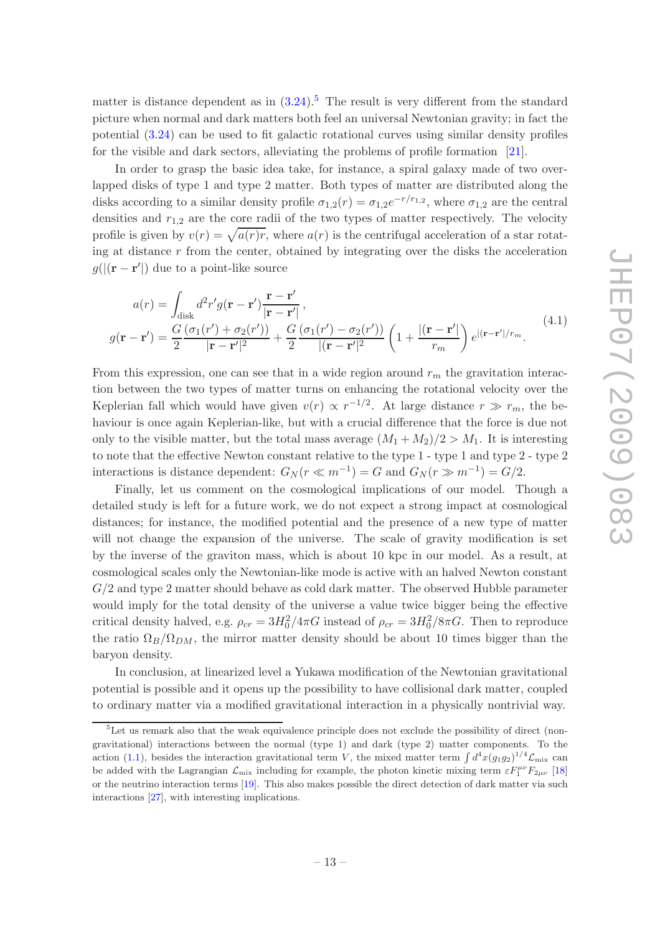matter is distance dependent as in  $(3.24)$ .<sup>[5](#page-13-0)</sup> The result is very different from the standard picture when normal and dark matters both feel an universal Newtonian gravity; in fact the potential [\(3.24\)](#page-12-2) can be used to fit galactic rotational curves using similar density profiles for the visible and dark sectors, alleviating the problems of profile formation [\[21\]](#page-17-7).

In order to grasp the basic idea take, for instance, a spiral galaxy made of two overlapped disks of type 1 and type 2 matter. Both types of matter are distributed along the disks according to a similar density profile  $\sigma_{1,2}(r) = \sigma_{1,2}e^{-r/r_{1,2}}$ , where  $\sigma_{1,2}$  are the central densities and  $r_{1,2}$  are the core radii of the two types of matter respectively. The velocity profile is given by  $v(r) = \sqrt{a(r)}r$ , where  $a(r)$  is the centrifugal acceleration of a star rotating at distance  $r$  from the center, obtained by integrating over the disks the acceleration  $g(|(\mathbf{r} - \mathbf{r}')|)$  due to a point-like source

$$
a(r) = \int_{\text{disk}} d^2r' g(\mathbf{r} - \mathbf{r}') \frac{\mathbf{r} - \mathbf{r}'}{|\mathbf{r} - \mathbf{r}'|},
$$
  
\n
$$
g(\mathbf{r} - \mathbf{r}') = \frac{G(\sigma_1(r') + \sigma_2(r'))}{2} + \frac{G(\sigma_1(r') - \sigma_2(r'))}{|\mathbf{r} - \mathbf{r}'|^2} \left(1 + \frac{|\mathbf{r} - \mathbf{r}'|}{r_m}\right) e^{|\mathbf{r} - \mathbf{r}'|/r_m}.
$$
\n(4.1)

From this expression, one can see that in a wide region around  $r<sub>m</sub>$  the gravitation interaction between the two types of matter turns on enhancing the rotational velocity over the Keplerian fall which would have given  $v(r) \propto r^{-1/2}$ . At large distance  $r \gg r_m$ , the behaviour is once again Keplerian-like, but with a crucial difference that the force is due not only to the visible matter, but the total mass average  $(M_1 + M_2)/2 > M_1$ . It is interesting to note that the effective Newton constant relative to the type 1 - type 1 and type 2 - type 2 interactions is distance dependent:  $G_N(r \ll m^{-1}) = G$  and  $G_N(r \gg m^{-1}) = G/2$ .

Finally, let us comment on the cosmological implications of our model. Though a detailed study is left for a future work, we do not expect a strong impact at cosmological distances; for instance, the modified potential and the presence of a new type of matter will not change the expansion of the universe. The scale of gravity modification is set by the inverse of the graviton mass, which is about 10 kpc in our model. As a result, at cosmological scales only the Newtonian-like mode is active with an halved Newton constant  $G/2$  and type 2 matter should behave as cold dark matter. The observed Hubble parameter would imply for the total density of the universe a value twice bigger being the effective critical density halved, e.g.  $\rho_{cr} = 3H_0^2/4\pi G$  instead of  $\rho_{cr} = 3H_0^2/8\pi G$ . Then to reproduce the ratio  $\Omega_B/\Omega_{DM}$ , the mirror matter density should be about 10 times bigger than the baryon density.

In conclusion, at linearized level a Yukawa modification of the Newtonian gravitational potential is possible and it opens up the possibility to have collisional dark matter, coupled to ordinary matter via a modified gravitational interaction in a physically nontrivial way.

<span id="page-13-0"></span><sup>&</sup>lt;sup>5</sup>Let us remark also that the weak equivalence principle does not exclude the possibility of direct (nongravitational) interactions between the normal (type 1) and dark (type 2) matter components. To the action [\(1.1\)](#page-2-1), besides the interaction gravitational term V, the mixed matter term  $\int d^4x(g_1g_2)^{1/4} \mathcal{L}_{\text{mix}}$  can be added with the Lagrangian  $\mathcal{L}_{mix}$  including for example, the photon kinetic mixing term  $\varepsilon F_1^{\mu\nu}F_{2\mu\nu}$  [\[18](#page-17-4)] or the neutrino interaction terms [\[19\]](#page-17-5). This also makes possible the direct detection of dark matter via such interactions [\[27](#page-18-3)], with interesting implications.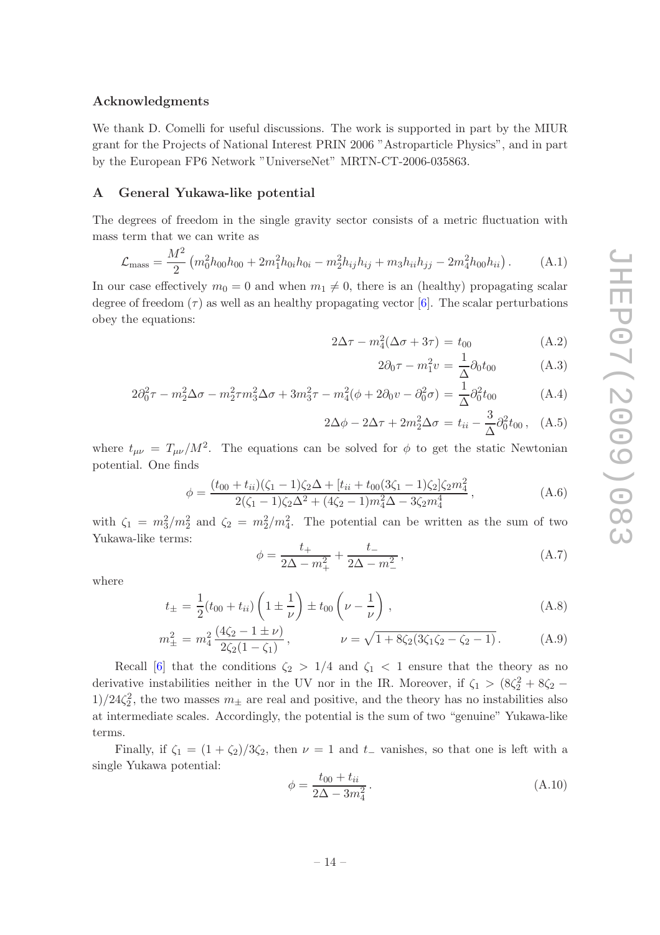#### Acknowledgments

We thank D. Comelli for useful discussions. The work is supported in part by the MIUR grant for the Projects of National Interest PRIN 2006 "Astroparticle Physics", and in part by the European FP6 Network "UniverseNet" MRTN-CT-2006-035863.

#### <span id="page-14-0"></span>A General Yukawa-like potential

The degrees of freedom in the single gravity sector consists of a metric fluctuation with mass term that we can write as

$$
\mathcal{L}_{\text{mass}} = \frac{M^2}{2} \left( m_0^2 h_{00} h_{00} + 2m_1^2 h_{0i} h_{0i} - m_2^2 h_{ij} h_{ij} + m_3 h_{ii} h_{jj} - 2m_4^2 h_{00} h_{ii} \right). \tag{A.1}
$$

In our case effectively  $m_0 = 0$  and when  $m_1 \neq 0$ , there is an (healthy) propagating scalar degree of freedom  $(\tau)$  as well as an healthy propagating vector [\[6\]](#page-16-5). The scalar perturbations obey the equations:

$$
2\Delta \tau - m_4^2(\Delta \sigma + 3\tau) = t_{00}
$$
 (A.2)

$$
2\partial_0 \tau - m_1^2 v = \frac{1}{\Delta} \partial_0 t_{00} \tag{A.3}
$$

$$
2\partial_0^2 \tau - m_2^2 \Delta \sigma - m_2^2 \tau m_3^2 \Delta \sigma + 3m_3^2 \tau - m_4^2 (\phi + 2\partial_0 v - \partial_0^2 \sigma) = \frac{1}{\Delta} \partial_0^2 t_{00}
$$
 (A.4)

$$
2\Delta\phi - 2\Delta\tau + 2m_2^2\Delta\sigma = t_{ii} - \frac{3}{\Delta}\partial_0^2 t_{00}, \quad (A.5)
$$

where  $t_{\mu\nu} = T_{\mu\nu}/M^2$ . The equations can be solved for  $\phi$  to get the static Newtonian potential. One finds

$$
\phi = \frac{(t_{00} + t_{ii})(\zeta_1 - 1)\zeta_2\Delta + [t_{ii} + t_{00}(3\zeta_1 - 1)\zeta_2]\zeta_2 m_4^2}{2(\zeta_1 - 1)\zeta_2\Delta^2 + (4\zeta_2 - 1)m_4^2\Delta - 3\zeta_2 m_4^4},
$$
\n(A.6)

with  $\zeta_1 = m_3^2/m_2^2$  and  $\zeta_2 = m_2^2/m_4^2$ . The potential can be written as the sum of two Yukawa-like terms:

$$
\phi = \frac{t_+}{2\Delta - m_+^2} + \frac{t_-}{2\Delta - m_-^2},\tag{A.7}
$$

where

$$
t_{\pm} = \frac{1}{2}(t_{00} + t_{ii}) \left(1 \pm \frac{1}{\nu}\right) \pm t_{00} \left(\nu - \frac{1}{\nu}\right), \tag{A.8}
$$

$$
m_{\pm}^2 = m_4^2 \frac{(4\zeta_2 - 1 \pm \nu)}{2\zeta_2(1 - \zeta_1)}, \qquad \nu = \sqrt{1 + 8\zeta_2(3\zeta_1\zeta_2 - \zeta_2 - 1)}.
$$
 (A.9)

Recall [\[6\]](#page-16-5) that the conditions  $\zeta_2 > 1/4$  and  $\zeta_1 < 1$  ensure that the theory as no derivative instabilities neither in the UV nor in the IR. Moreover, if  $\zeta_1 > (8\zeta_2^2 + 8\zeta_2 1/24\zeta_2^2$ , the two masses  $m_{\pm}$  are real and positive, and the theory has no instabilities also at intermediate scales. Accordingly, the potential is the sum of two "genuine" Yukawa-like terms.

Finally, if  $\zeta_1 = (1 + \zeta_2)/3\zeta_2$ , then  $\nu = 1$  and  $t_-\$  vanishes, so that one is left with a single Yukawa potential:

$$
\phi = \frac{t_{00} + t_{ii}}{2\Delta - 3m_4^2}.
$$
\n(A.10)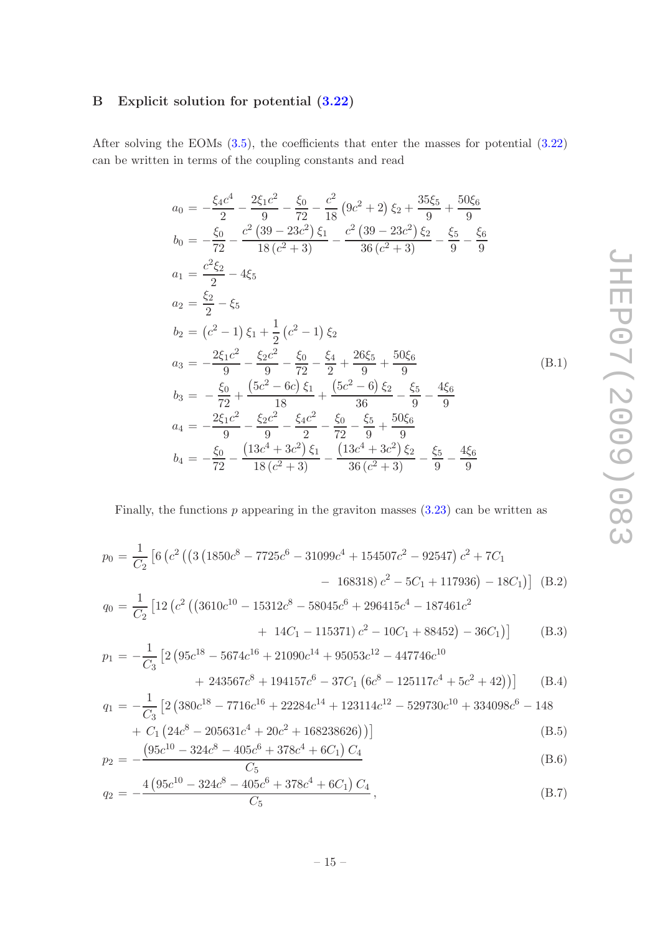# <span id="page-15-0"></span>B Explicit solution for potential [\(3.22\)](#page-11-0)

After solving the EOMs [\(3.5\)](#page-8-1), the coefficients that enter the masses for potential [\(3.22\)](#page-11-0) can be written in terms of the coupling constants and read

$$
a_0 = -\frac{\xi_4 c^4}{2} - \frac{2\xi_1 c^2}{9} - \frac{\xi_0}{72} - \frac{c^2}{18} (9c^2 + 2) \xi_2 + \frac{35\xi_5}{9} + \frac{50\xi_6}{9}
$$
  
\n
$$
b_0 = -\frac{\xi_0}{72} - \frac{c^2 (39 - 23c^2) \xi_1}{18 (c^2 + 3)} - \frac{c^2 (39 - 23c^2) \xi_2}{36 (c^2 + 3)} - \frac{\xi_5}{9} - \frac{\xi_6}{9}
$$
  
\n
$$
a_1 = \frac{c^2 \xi_2}{2} - 4\xi_5
$$
  
\n
$$
a_2 = \frac{\xi_2}{2} - \xi_5
$$
  
\n
$$
b_2 = (c^2 - 1) \xi_1 + \frac{1}{2} (c^2 - 1) \xi_2
$$
  
\n
$$
a_3 = -\frac{2\xi_1 c^2}{9} - \frac{\xi_2 c^2}{9} - \frac{\xi_0}{72} - \frac{\xi_4}{2} + \frac{26\xi_5}{9} + \frac{50\xi_6}{9}
$$
  
\n
$$
b_3 = -\frac{\xi_0}{72} + \frac{(5c^2 - 6c) \xi_1}{18} + \frac{(5c^2 - 6) \xi_2}{36} - \frac{\xi_5}{9} - \frac{4\xi_6}{9}
$$
  
\n
$$
a_4 = -\frac{2\xi_1 c^2}{9} - \frac{\xi_2 c^2}{9} - \frac{\xi_4 c^2}{2} - \frac{\xi_0}{72} - \frac{\xi_5}{9} + \frac{50\xi_6}{9}
$$
  
\n
$$
b_4 = -\frac{\xi_0}{72} - \frac{(13c^4 + 3c^2) \xi_1}{18 (c^2 + 3)} - \frac{(13c^4 + 3c^2) \xi_2}{36 (c^2 + 3)} - \frac{\xi_5}{9} - \frac{4\xi_6}{9}
$$

Finally, the functions  $p$  appearing in the graviton masses  $(3.23)$  can be written as

$$
p_0 = \frac{1}{C_2} \left[ 6 \left( c^2 \left( \left( 3 \left( 1850c^8 - 7725c^6 - 31099c^4 + 154507c^2 - 92547 \right) c^2 + 7C_1 \right) \right. \right. \\ \left. - 168318 \right) c^2 - 5C_1 + 117936 \left) - 18C_1 \right) \right] \text{ (B.2)}
$$
\n
$$
q_0 = \frac{1}{C_2} \left[ 12 \left( c^2 \left( \left( 3610c^{10} - 15312c^8 - 58045c^6 + 296415c^4 - 187461c^2 \right) \right. \right. \\ \left. + 14C_1 - 115371 \right) c^2 - 10C_1 + 88452 \right) - 36C_1 \right) \right] \quad \text{ (B.3)}
$$
\n
$$
p_1 = -\frac{1}{C_3} \left[ 2 \left( 95c^{18} - 5674c^{16} + 21090c^{14} + 95053c^{12} - 447746c^{10} \right. \\ \left. + 243567c^8 + 194157c^6 - 37C_1 \left( 6c^8 - 125117c^4 + 5c^2 + 42 \right) \right) \right] \quad \text{ (B.4)}
$$
\n
$$
q_1 = -\frac{1}{C_3} \left[ 2 \left( 380c^{18} - 7716c^{16} + 22284c^{14} + 123114c^{12} - 529730c^{10} + 334098c^6 - 148 \right. \right)
$$

+ C<sub>1</sub> 
$$
(24c^8 - 205631c^4 + 20c^2 + 168238626)
$$
  $)]$  (B.5)

$$
p_2 = -\frac{(95c^{10} - 324c^8 - 405c^6 + 378c^4 + 6C_1)C_4}{C_5}
$$
(B.6)

$$
q_2 = -\frac{4\left(95c^{10} - 324c^8 - 405c^6 + 378c^4 + 6C_1\right)C_4}{C_5},
$$
\n(B.7)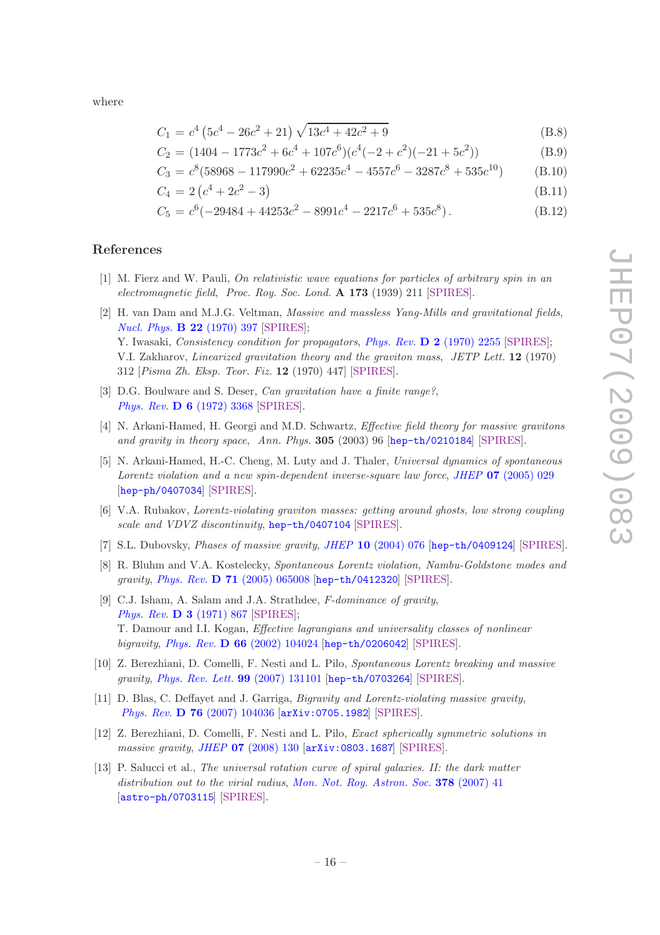where

$$
C_1 = c^4 \left(5c^4 - 26c^2 + 21\right) \sqrt{13c^4 + 42c^2 + 9} \tag{B.8}
$$

$$
C_2 = (1404 - 1773c^2 + 6c^4 + 107c^6)(c^4(-2 + c^2)(-21 + 5c^2))
$$
 (B.9)

$$
C_3 = c^8(58968 - 117990c^2 + 62235c^4 - 4557c^6 - 3287c^8 + 535c^{10})
$$
 (B.10)

$$
C_4 = 2\left(c^4 + 2c^2 - 3\right) \tag{B.11}
$$

$$
C_5 = c^6(-29484 + 44253c^2 - 8991c^4 - 2217c^6 + 535c^8). \tag{B.12}
$$

## References

- <span id="page-16-0"></span>[1] M. Fierz and W. Pauli, On relativistic wave equations for particles of arbitrary spin in an electromagnetic field, Proc. Roy. Soc. Lond. A 173 (1939) 211 [\[SPIRES\]](http://www-spires.slac.stanford.edu/spires/find/hep/www?j=PRSLA,A173,211).
- <span id="page-16-1"></span>[2] H. van Dam and M.J.G. Veltman, Massive and massless Yang-Mills and gravitational fields, [Nucl. Phys.](http://dx.doi.org/10.1016/0550-3213(70)90416-5) B 22 (1970) 397 [\[SPIRES\]](http://www-spires.slac.stanford.edu/spires/find/hep/www?j=NUPHA,B22,397); Y. Iwasaki, Consistency condition for propagators, Phys. Rev. D 2 [\(1970\) 2255](http://dx.doi.org/10.1103/PhysRevD.2.2255) [\[SPIRES\]](http://www-spires.slac.stanford.edu/spires/find/hep/www?j=PHRVA,D2,2255); V.I. Zakharov, Linearized gravitation theory and the graviton mass, JETP Lett. 12 (1970) 312 [Pisma Zh. Eksp. Teor. Fiz. 12 (1970) 447] [\[SPIRES\]](http://www-spires.slac.stanford.edu/spires/find/hep/www?j=JTPLA,12,312).
- <span id="page-16-2"></span>[3] D.G. Boulware and S. Deser, Can gravitation have a finite range?, Phys. Rev. D 6 [\(1972\) 3368](http://dx.doi.org/10.1103/PhysRevD.6.3368) [\[SPIRES\]](http://www-spires.slac.stanford.edu/spires/find/hep/www?j=PHRVA,D6,3368).
- <span id="page-16-3"></span>[4] N. Arkani-Hamed, H. Georgi and M.D. Schwartz, Effective field theory for massive gravitons and gravity in theory space, Ann. Phys. 305 (2003) 96 [[hep-th/0210184](http://arxiv.org/abs/hep-th/0210184)] [\[SPIRES\]](http://www-spires.slac.stanford.edu/spires/find/hep/www?eprint=HEP-TH/0210184).
- <span id="page-16-4"></span>[5] N. Arkani-Hamed, H.-C. Cheng, M. Luty and J. Thaler, Universal dynamics of spontaneous Lorentz violation and a new spin-dependent inverse-square law force, JHEP 07 [\(2005\) 029](http://dx.doi.org/10.1088/1126-6708/2005/07/029) [[hep-ph/0407034](http://arxiv.org/abs/hep-ph/0407034)] [\[SPIRES\]](http://www-spires.slac.stanford.edu/spires/find/hep/www?eprint=HEP-PH/0407034).
- <span id="page-16-5"></span>[6] V.A. Rubakov, Lorentz-violating graviton masses: getting around ghosts, low strong coupling scale and VDVZ discontinuity, [hep-th/0407104](http://arxiv.org/abs/hep-th/0407104) [\[SPIRES\]](http://www-spires.slac.stanford.edu/spires/find/hep/www?eprint=HEP-TH/0407104).
- <span id="page-16-6"></span>[7] S.L. Dubovsky, *Phases of massive gravity, JHEP* 10 [\(2004\) 076](http://dx.doi.org/10.1088/1126-6708/2004/10/076) [[hep-th/0409124](http://arxiv.org/abs/hep-th/0409124)] [\[SPIRES\]](http://www-spires.slac.stanford.edu/spires/find/hep/www?eprint=HEP-TH/0409124).
- <span id="page-16-7"></span>[8] R. Bluhm and V.A. Kostelecky, Spontaneous Lorentz violation, Nambu-Goldstone modes and gravity, Phys. Rev. D 71 [\(2005\) 065008](http://dx.doi.org/10.1103/PhysRevD.71.065008) [[hep-th/0412320](http://arxiv.org/abs/hep-th/0412320)] [\[SPIRES\]](http://www-spires.slac.stanford.edu/spires/find/hep/www?eprint=HEP-TH/0412320).
- <span id="page-16-8"></span>[9] C.J. Isham, A. Salam and J.A. Strathdee, F-dominance of gravity, [Phys. Rev.](http://dx.doi.org/10.1103/PhysRevD.3.867) D 3 (1971) 867 [\[SPIRES\]](http://www-spires.slac.stanford.edu/spires/find/hep/www?j=PHRVA,D3,867); T. Damour and I.I. Kogan, Effective lagrangians and universality classes of nonlinear bigravity, Phys. Rev. D 66 [\(2002\) 104024](http://dx.doi.org/10.1103/PhysRevD.66.104024) [[hep-th/0206042](http://arxiv.org/abs/hep-th/0206042)] [\[SPIRES\]](http://www-spires.slac.stanford.edu/spires/find/hep/www?eprint=HEP-TH/0206042).
- <span id="page-16-9"></span>[10] Z. Berezhiani, D. Comelli, F. Nesti and L. Pilo, Spontaneous Lorentz breaking and massive gravity, [Phys. Rev. Lett.](http://dx.doi.org/10.1103/PhysRevLett.99.131101) 99 (2007) 131101 [[hep-th/0703264](http://arxiv.org/abs/hep-th/0703264)] [\[SPIRES\]](http://www-spires.slac.stanford.edu/spires/find/hep/www?eprint=HEP-TH/0703264).
- <span id="page-16-10"></span>[11] D. Blas, C. Deffayet and J. Garriga, Bigravity and Lorentz-violating massive gravity, Phys. Rev. D 76 [\(2007\) 104036](http://dx.doi.org/10.1103/PhysRevD.76.104036) [[arXiv:0705.1982](http://arxiv.org/abs/0705.1982)] [\[SPIRES\]](http://www-spires.slac.stanford.edu/spires/find/hep/www?eprint=0705.1982).
- <span id="page-16-11"></span>[12] Z. Berezhiani, D. Comelli, F. Nesti and L. Pilo, Exact spherically symmetric solutions in massive gravity, JHEP 07 [\(2008\) 130](http://dx.doi.org/10.1088/1126-6708/2008/07/130) [[arXiv:0803.1687](http://arxiv.org/abs/0803.1687)] [\[SPIRES\]](http://www-spires.slac.stanford.edu/spires/find/hep/www?eprint=0803.1687).
- <span id="page-16-12"></span>[13] P. Salucci et al., The universal rotation curve of spiral galaxies. II: the dark matter distribution out to the virial radius, [Mon. Not. Roy. Astron. Soc.](http://dx.doi.org/10.1111/j.1365-2966.2007.11696.x) 378 (2007) 41 [[astro-ph/0703115](http://arxiv.org/abs/astro-ph/0703115)] [\[SPIRES\]](http://www-spires.slac.stanford.edu/spires/find/hep/www?eprint=ASTRO-PH/0703115).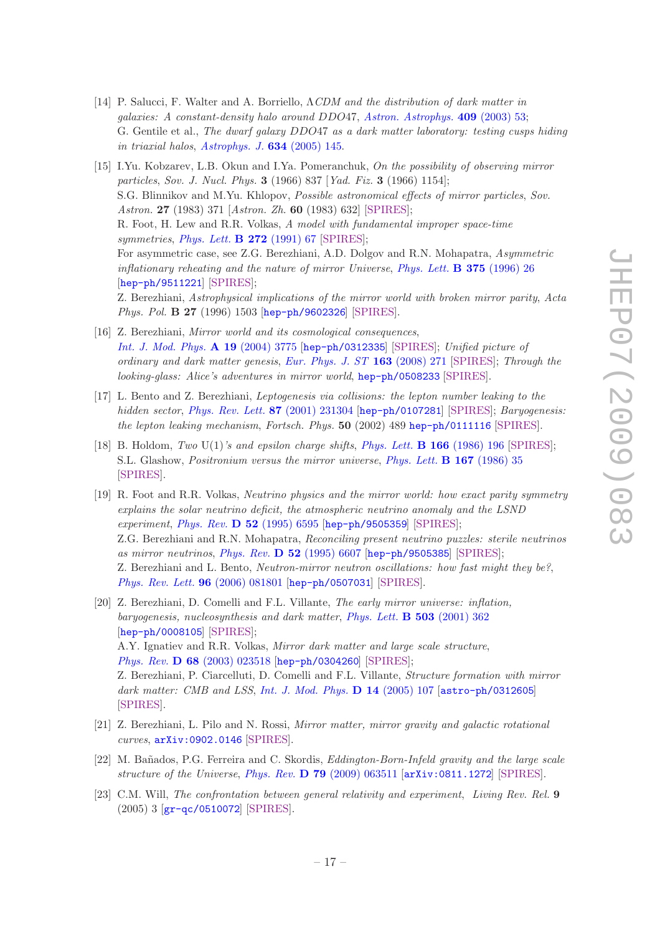- <span id="page-17-0"></span>[14] P. Salucci, F. Walter and A. Borriello, ΛCDM and the distribution of dark matter in galaxies: A constant-density halo around DDO47, [Astron. Astrophys.](http://dx.doi.org/10.1051/0004-6361:20030646) 409 (2003) 53; G. Gentile et al., The dwarf galaxy DDO47 as a dark matter laboratory: testing cusps hiding in triaxial halos, [Astrophys. J.](http://dx.doi.org/10.1086/498939) 634 (2005) 145.
- <span id="page-17-1"></span>[15] I.Yu. Kobzarev, L.B. Okun and I.Ya. Pomeranchuk, On the possibility of observing mirror particles, Sov. J. Nucl. Phys. 3 (1966) 837 [Yad. Fiz. 3 (1966) 1154]; S.G. Blinnikov and M.Yu. Khlopov, Possible astronomical effects of mirror particles, Sov. Astron. 27 (1983) 371 [Astron. Zh. 60 (1983) 632] [\[SPIRES\]](http://www-spires.slac.stanford.edu/spires/find/hep/www?j=SAAJA,27,371); R. Foot, H. Lew and R.R. Volkas, A model with fundamental improper space-time symmetries, [Phys. Lett.](http://dx.doi.org/10.1016/0370-2693(91)91013-L)  $\bf{B}$  272 (1991) 67 [\[SPIRES\]](http://www-spires.slac.stanford.edu/spires/find/hep/www?j=PHLTA,B272,67); For asymmetric case, see Z.G. Berezhiani, A.D. Dolgov and R.N. Mohapatra, Asymmetric inflationary reheating and the nature of mirror Universe, [Phys. Lett.](http://dx.doi.org/10.1016/0370-2693(96)00219-5) **B** 375 (1996) 26 [[hep-ph/9511221](http://arxiv.org/abs/hep-ph/9511221)] [\[SPIRES\]](http://www-spires.slac.stanford.edu/spires/find/hep/www?eprint=HEP-PH/9511221); Z. Berezhiani, Astrophysical implications of the mirror world with broken mirror parity, Acta Phys. Pol. B 27 (1996) 1503 [[hep-ph/9602326](http://arxiv.org/abs/hep-ph/9602326)] [\[SPIRES\]](http://www-spires.slac.stanford.edu/spires/find/hep/www?j=APPOA,B27,1503).
- <span id="page-17-2"></span>[16] Z. Berezhiani, Mirror world and its cosmological consequences, [Int. J. Mod. Phys.](http://dx.doi.org/10.1142/S0217751X04020075) A 19 (2004) 3775 [[hep-ph/0312335](http://arxiv.org/abs/hep-ph/0312335)] [\[SPIRES\]](http://www-spires.slac.stanford.edu/spires/find/hep/www?j=IMPAE,A19,3775); Unified picture of ordinary and dark matter genesis, Eur. Phys. J.  $ST$  163 (2008) 271 [\[SPIRES\]](http://www-spires.slac.stanford.edu/spires/find/hep/www?j=00619,163,271); Through the looking-glass: Alice's adventures in mirror world, [hep-ph/0508233](http://arxiv.org/abs/hep-ph/0508233) [\[SPIRES\]](http://www-spires.slac.stanford.edu/spires/find/hep/www?eprint=HEP-PH/0508233).
- <span id="page-17-3"></span>[17] L. Bento and Z. Berezhiani, Leptogenesis via collisions: the lepton number leaking to the hidden sector, [Phys. Rev. Lett.](http://dx.doi.org/10.1103/PhysRevLett.87.231304) 87 (2001) 231304 [[hep-ph/0107281](http://arxiv.org/abs/hep-ph/0107281)] [\[SPIRES\]](http://www-spires.slac.stanford.edu/spires/find/hep/www?eprint=HEP-PH/0107281); Baryogenesis: the lepton leaking mechanism, Fortsch. Phys. 50 (2002) 489 [hep-ph/0111116](http://arxiv.org/abs/hep-ph/0111116) [\[SPIRES\]](http://www-spires.slac.stanford.edu/spires/find/hep/www?eprint=HEP-PH/0111116).
- <span id="page-17-4"></span>[18] B. Holdom, Two U(1)'s and epsilon charge shifts, [Phys. Lett.](http://dx.doi.org/10.1016/0370-2693(86)91377-8) **B 166** (1986) 196 [\[SPIRES\]](http://www-spires.slac.stanford.edu/spires/find/hep/www?j=PHLTA,B166,196); S.L. Glashow, Positronium versus the mirror universe, [Phys. Lett.](http://dx.doi.org/10.1016/0370-2693(86)90540-X) B 167 (1986) 35 [\[SPIRES\]](http://www-spires.slac.stanford.edu/spires/find/hep/www?j=PHLTA,B167,35).
- <span id="page-17-5"></span>[19] R. Foot and R.R. Volkas, Neutrino physics and the mirror world: how exact parity symmetry explains the solar neutrino deficit, the atmospheric neutrino anomaly and the LSND experiment, Phys. Rev.  $\bf{D}$  52 [\(1995\) 6595](http://dx.doi.org/10.1103/PhysRevD.52.6595) [[hep-ph/9505359](http://arxiv.org/abs/hep-ph/9505359)] [\[SPIRES\]](http://www-spires.slac.stanford.edu/spires/find/hep/www?eprint=HEP-PH/9505359); Z.G. Berezhiani and R.N. Mohapatra, Reconciling present neutrino puzzles: sterile neutrinos as mirror neutrinos, Phys. Rev.  $\overline{D}$  52 [\(1995\) 6607](http://dx.doi.org/10.1103/PhysRevD.52.6607) [[hep-ph/9505385](http://arxiv.org/abs/hep-ph/9505385)] [\[SPIRES\]](http://www-spires.slac.stanford.edu/spires/find/hep/www?eprint=HEP-PH/9505385); Z. Berezhiani and L. Bento, Neutron-mirror neutron oscillations: how fast might they be?, [Phys. Rev. Lett.](http://dx.doi.org/10.1103/PhysRevLett.96.081801) 96 (2006) 081801 [[hep-ph/0507031](http://arxiv.org/abs/hep-ph/0507031)] [\[SPIRES\]](http://www-spires.slac.stanford.edu/spires/find/hep/www?eprint=HEP-PH/0507031).
- <span id="page-17-6"></span>[20] Z. Berezhiani, D. Comelli and F.L. Villante, The early mirror universe: inflation, baryogenesis, nucleosynthesis and dark matter, *[Phys. Lett.](http://dx.doi.org/10.1016/S0370-2693(01)00217-9)* **B 503** (2001) 362 [[hep-ph/0008105](http://arxiv.org/abs/hep-ph/0008105)] [\[SPIRES\]](http://www-spires.slac.stanford.edu/spires/find/hep/www?eprint=HEP-PH/0008105); A.Y. Ignatiev and R.R. Volkas, Mirror dark matter and large scale structure, Phys. Rev. D 68 [\(2003\) 023518](http://dx.doi.org/10.1103/PhysRevD.68.023518) [[hep-ph/0304260](http://arxiv.org/abs/hep-ph/0304260)] [\[SPIRES\]](http://www-spires.slac.stanford.edu/spires/find/hep/www?eprint=HEP-PH/0304260); Z. Berezhiani, P. Ciarcelluti, D. Comelli and F.L. Villante, Structure formation with mirror dark matter: CMB and LSS, [Int. J. Mod. Phys.](http://dx.doi.org/10.1142/S0218271805005165) D 14 (2005) 107 [[astro-ph/0312605](http://arxiv.org/abs/astro-ph/0312605)] [\[SPIRES\]](http://www-spires.slac.stanford.edu/spires/find/hep/www?eprint=ASTRO-PH/0312605).
- <span id="page-17-7"></span>[21] Z. Berezhiani, L. Pilo and N. Rossi, Mirror matter, mirror gravity and galactic rotational curves, [arXiv:0902.0146](http://arxiv.org/abs/0902.0146) [\[SPIRES\]](http://www-spires.slac.stanford.edu/spires/find/hep/www?eprint=0902.0146).
- <span id="page-17-8"></span>[22] M. Bañados, P.G. Ferreira and C. Skordis, *Eddington-Born-Infeld gravity and the large scale* structure of the Universe, Phys. Rev.  $D$  79 [\(2009\) 063511](http://dx.doi.org/10.1103/PhysRevD.79.063511) [[arXiv:0811.1272](http://arxiv.org/abs/0811.1272)] [\[SPIRES\]](http://www-spires.slac.stanford.edu/spires/find/hep/www?eprint=0811.1272).
- <span id="page-17-9"></span>[23] C.M. Will, The confrontation between general relativity and experiment, Living Rev. Rel. 9 (2005) 3 [[gr-qc/0510072](http://arxiv.org/abs/gr-qc/0510072)] [\[SPIRES\]](http://www-spires.slac.stanford.edu/spires/find/hep/www?eprint=GR-QC/0510072).